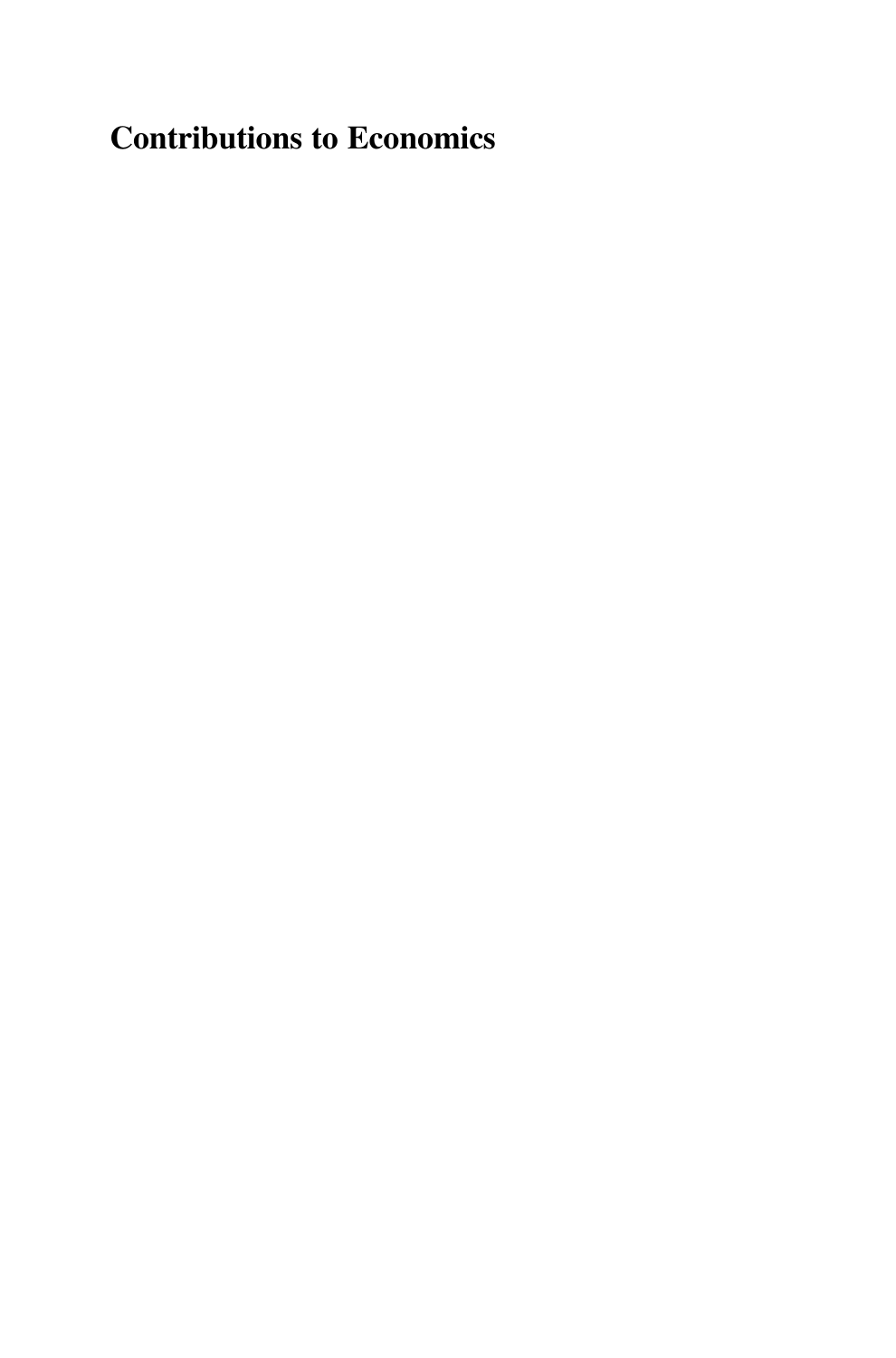## Contributions to Economics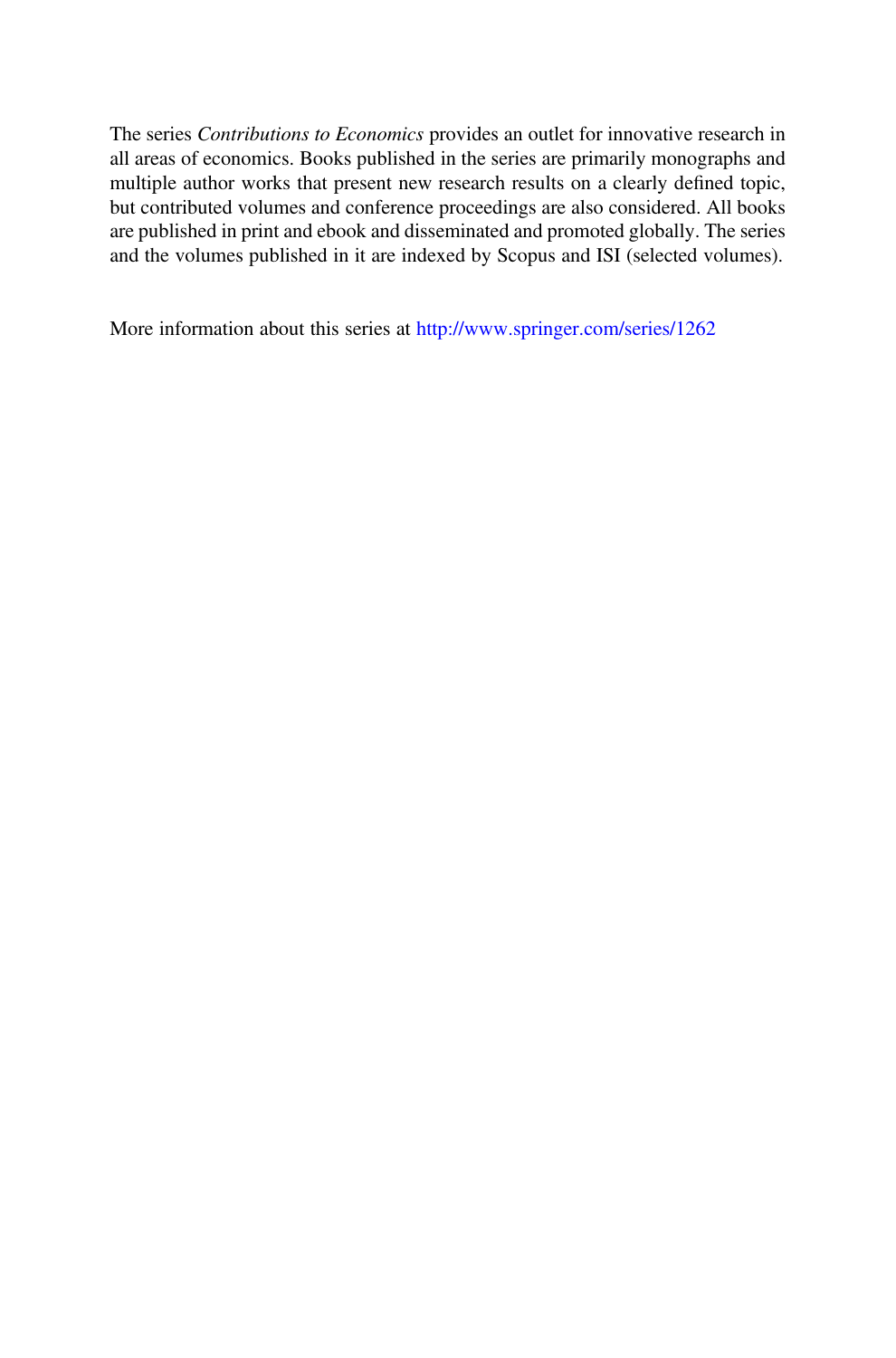The series Contributions to Economics provides an outlet for innovative research in all areas of economics. Books published in the series are primarily monographs and multiple author works that present new research results on a clearly defined topic, but contributed volumes and conference proceedings are also considered. All books are published in print and ebook and disseminated and promoted globally. The series and the volumes published in it are indexed by Scopus and ISI (selected volumes).

More information about this series at <http://www.springer.com/series/1262>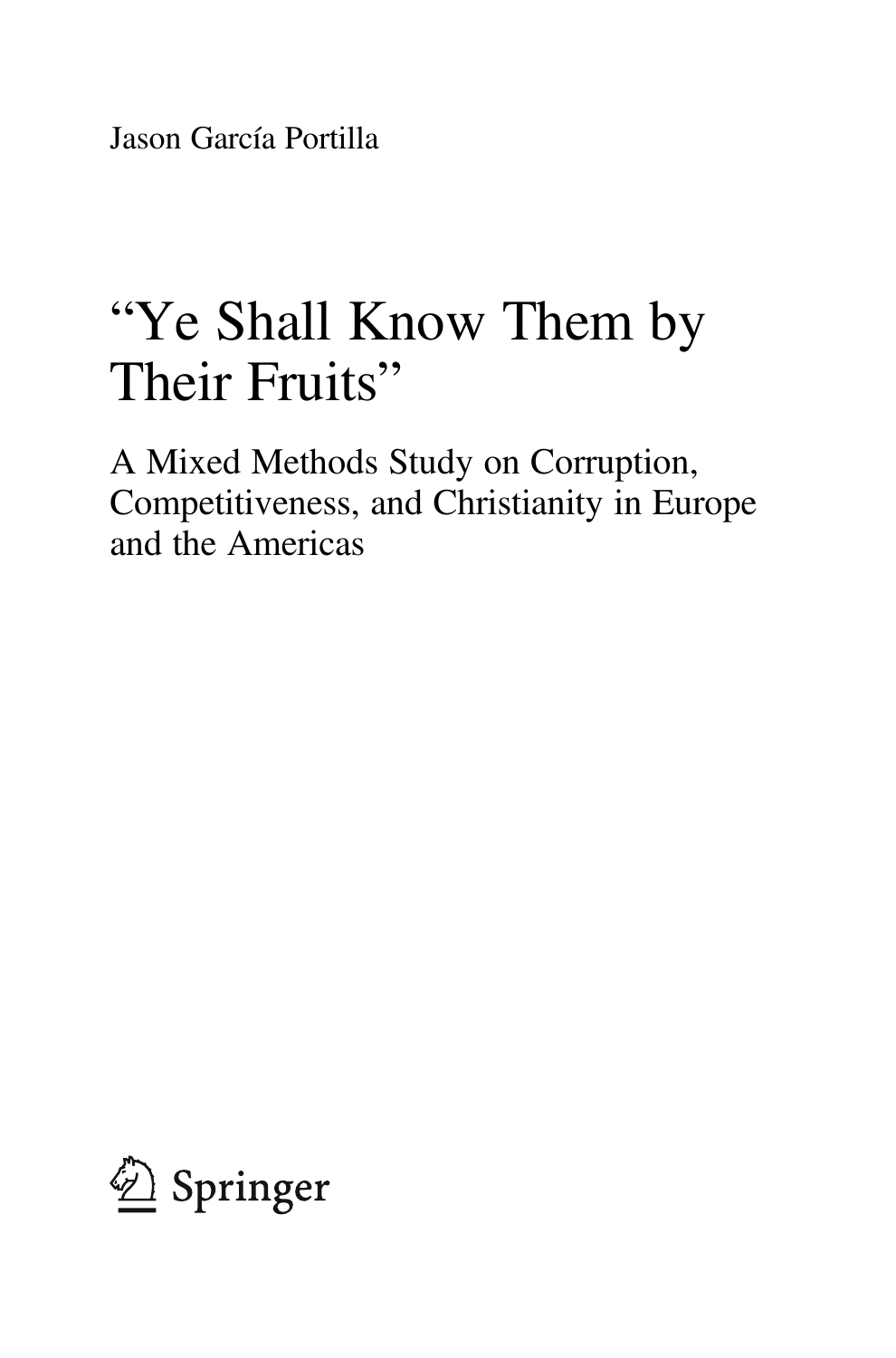Jason García Portilla

# "Ye Shall Know Them by Their Fruits"

A Mixed Methods Study on Corruption, Competitiveness, and Christianity in Europe and the Americas

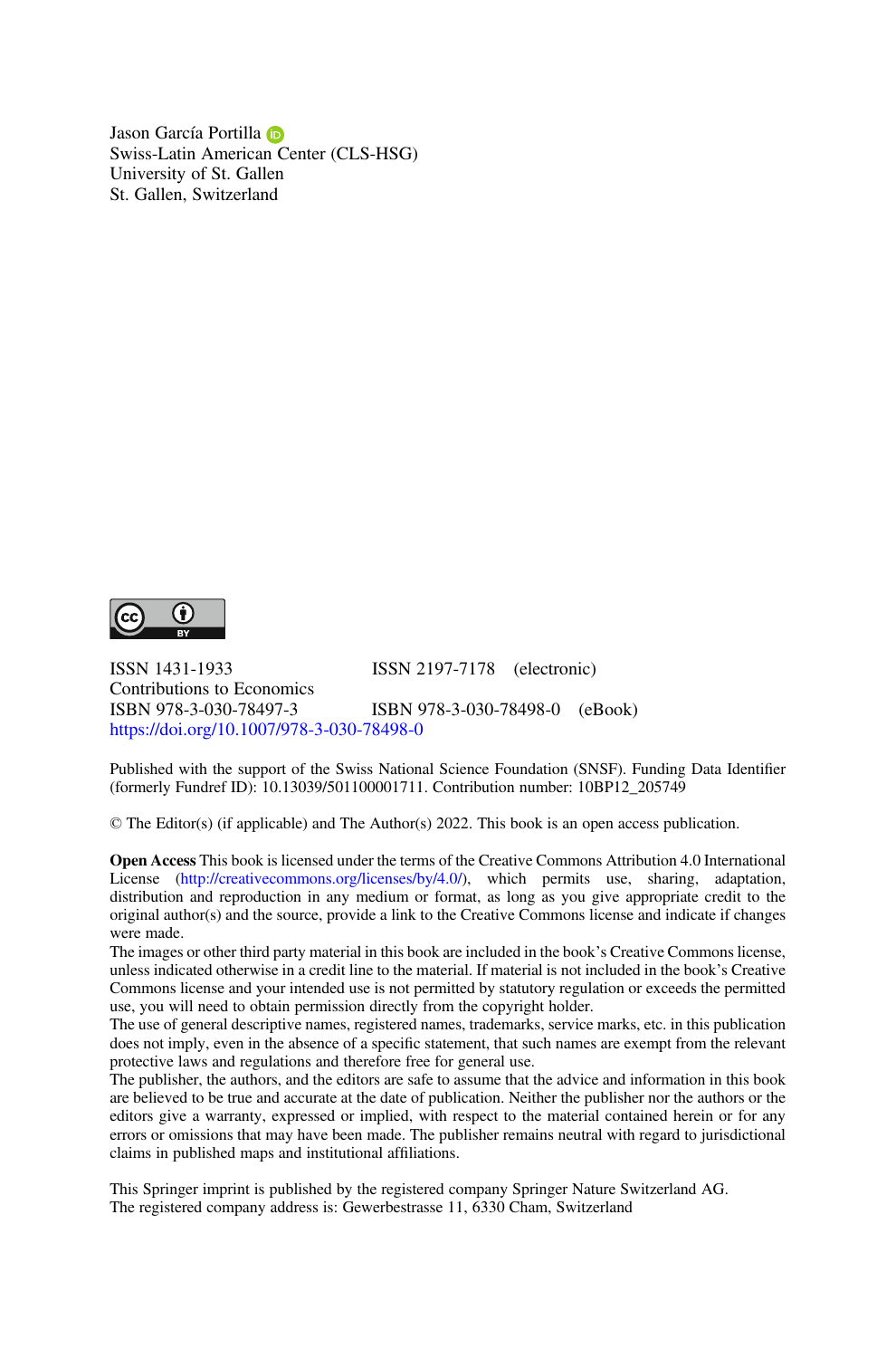Jason García Portilla Swiss-Latin American Center (CLS-HSG) University of St. Gallen St. Gallen, Switzerland



ISSN 1431-1933 ISSN 2197-7178 (electronic) Contributions to Economics<br>ISBN 978-3-030-78497-3 ISBN 978-3-030-78497-3 ISBN 978-3-030-78498-0 (eBook) <https://doi.org/10.1007/978-3-030-78498-0>

Published with the support of the Swiss National Science Foundation (SNSF). Funding Data Identifier (formerly Fundref ID): 10.13039/501100001711. Contribution number: 10BP12\_205749

© The Editor(s) (if applicable) and The Author(s) 2022. This book is an open access publication.

Open Access This book is licensed under the terms of the Creative Commons Attribution 4.0 International License ([http://creativecommons.org/licenses/by/4.0/\)](http://creativecommons.org/licenses/by/4.0/), which permits use, sharing, adaptation, distribution and reproduction in any medium or format, as long as you give appropriate credit to the original author(s) and the source, provide a link to the Creative Commons license and indicate if changes were made.

The images or other third party material in this book are included in the book's Creative Commons license, unless indicated otherwise in a credit line to the material. If material is not included in the book's Creative Commons license and your intended use is not permitted by statutory regulation or exceeds the permitted use, you will need to obtain permission directly from the copyright holder.

The use of general descriptive names, registered names, trademarks, service marks, etc. in this publication does not imply, even in the absence of a specific statement, that such names are exempt from the relevant protective laws and regulations and therefore free for general use.

The publisher, the authors, and the editors are safe to assume that the advice and information in this book are believed to be true and accurate at the date of publication. Neither the publisher nor the authors or the editors give a warranty, expressed or implied, with respect to the material contained herein or for any errors or omissions that may have been made. The publisher remains neutral with regard to jurisdictional claims in published maps and institutional affiliations.

This Springer imprint is published by the registered company Springer Nature Switzerland AG. The registered company address is: Gewerbestrasse 11, 6330 Cham, Switzerland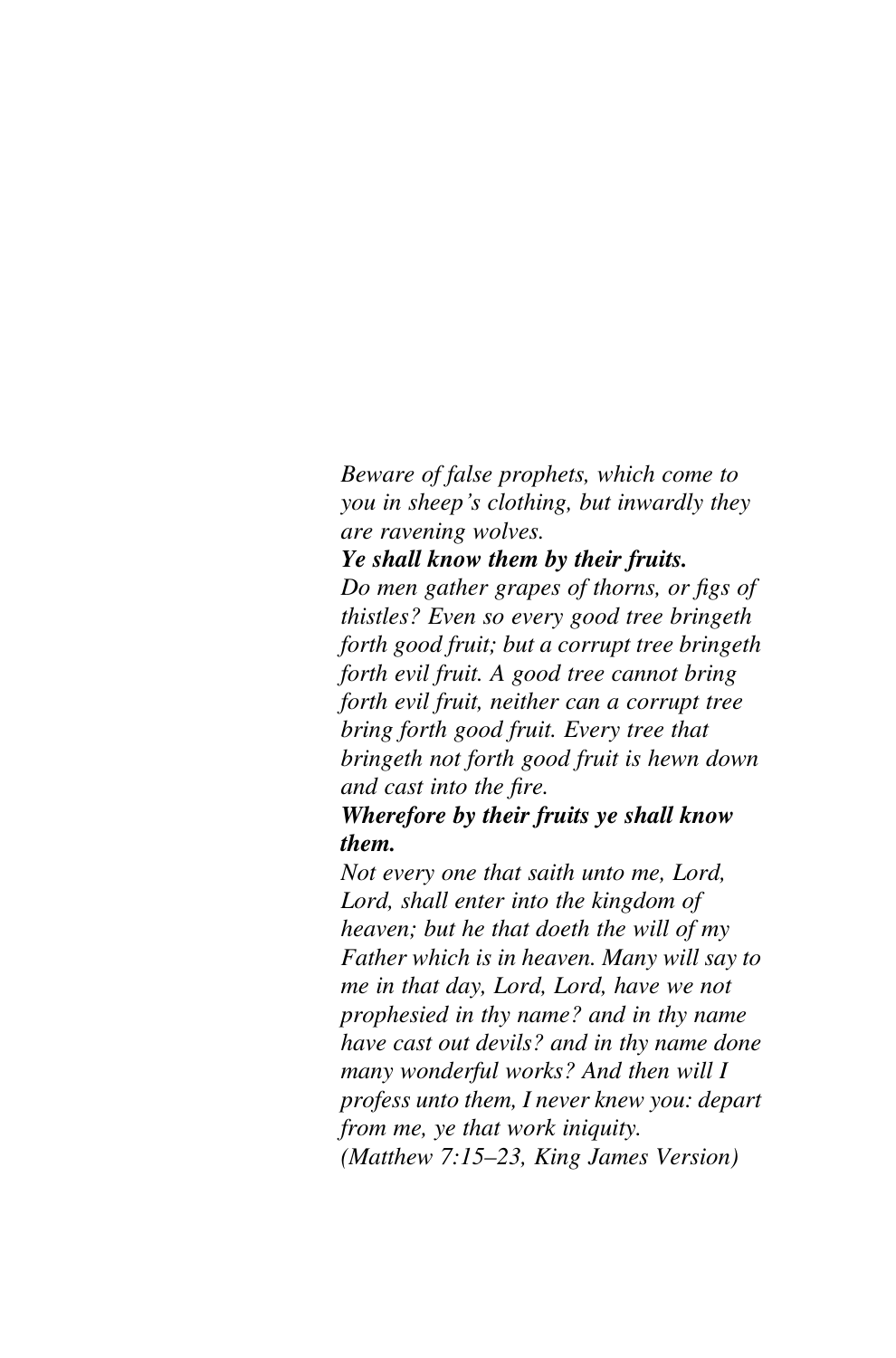Beware of false prophets, which come to you in sheep's clothing, but inwardly they are ravening wolves.

Ye shall know them by their fruits.

Do men gather grapes of thorns, or figs of thistles? Even so every good tree bringeth forth good fruit; but a corrupt tree bringeth forth evil fruit. A good tree cannot bring forth evil fruit, neither can a corrupt tree bring forth good fruit. Every tree that bringeth not forth good fruit is hewn down and cast into the fire.

### Wherefore by their fruits ye shall know them.

Not every one that saith unto me, Lord, Lord, shall enter into the kingdom of heaven; but he that doeth the will of my Father which is in heaven. Many will say to me in that day, Lord, Lord, have we not prophesied in thy name? and in thy name have cast out devils? and in thy name done many wonderful works? And then will I profess unto them, I never knew you: depart from me, ye that work iniquity. (Matthew 7:15–23, King James Version)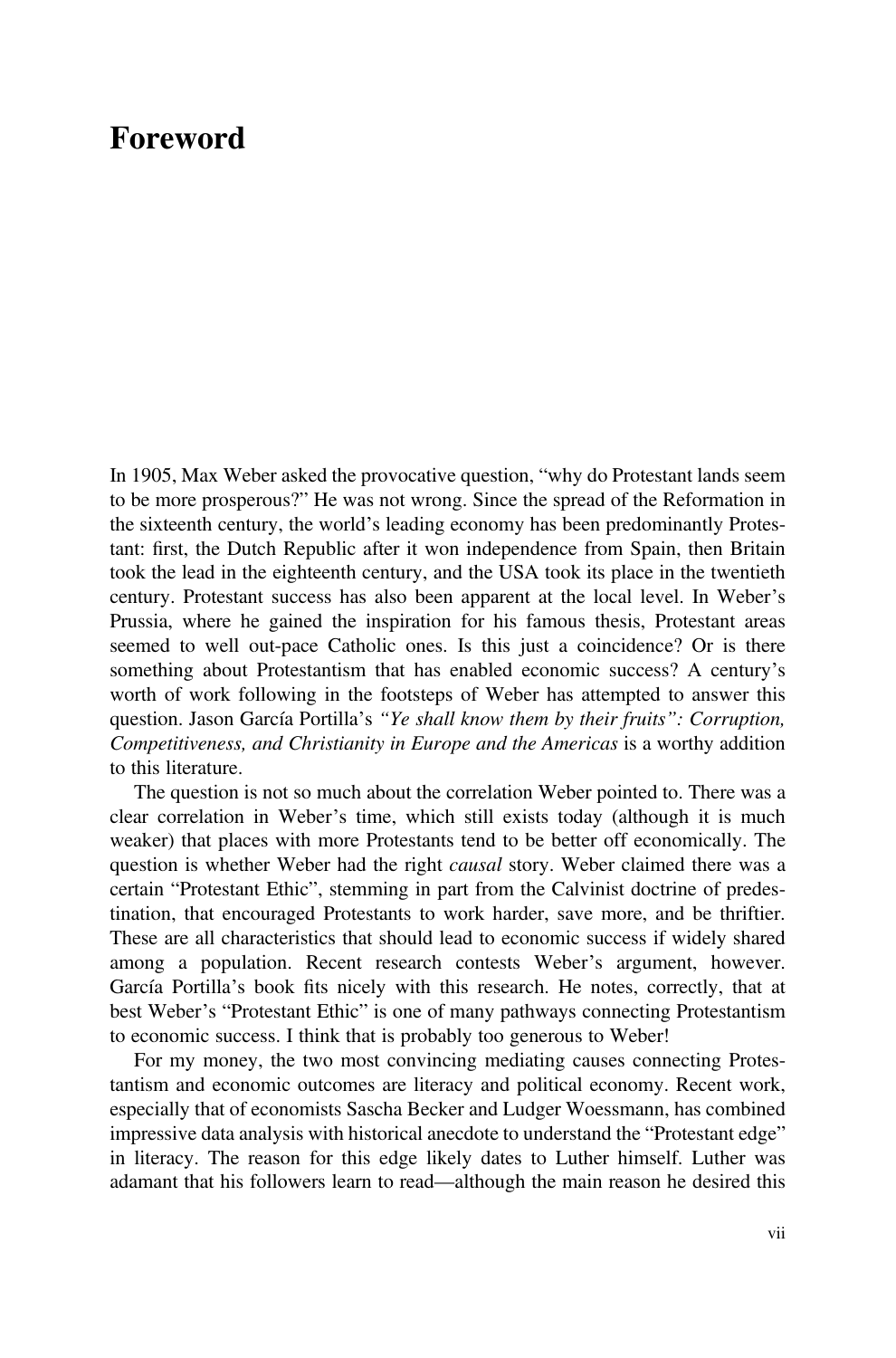## Foreword

In 1905, Max Weber asked the provocative question, "why do Protestant lands seem to be more prosperous?" He was not wrong. Since the spread of the Reformation in the sixteenth century, the world's leading economy has been predominantly Protestant: first, the Dutch Republic after it won independence from Spain, then Britain took the lead in the eighteenth century, and the USA took its place in the twentieth century. Protestant success has also been apparent at the local level. In Weber's Prussia, where he gained the inspiration for his famous thesis, Protestant areas seemed to well out-pace Catholic ones. Is this just a coincidence? Or is there something about Protestantism that has enabled economic success? A century's worth of work following in the footsteps of Weber has attempted to answer this question. Jason García Portilla's "Ye shall know them by their fruits": Corruption, Competitiveness, and Christianity in Europe and the Americas is a worthy addition to this literature.

The question is not so much about the correlation Weber pointed to. There was a clear correlation in Weber's time, which still exists today (although it is much weaker) that places with more Protestants tend to be better off economically. The question is whether Weber had the right *causal* story. Weber claimed there was a certain "Protestant Ethic", stemming in part from the Calvinist doctrine of predestination, that encouraged Protestants to work harder, save more, and be thriftier. These are all characteristics that should lead to economic success if widely shared among a population. Recent research contests Weber's argument, however. García Portilla's book fits nicely with this research. He notes, correctly, that at best Weber's "Protestant Ethic" is one of many pathways connecting Protestantism to economic success. I think that is probably too generous to Weber!

For my money, the two most convincing mediating causes connecting Protestantism and economic outcomes are literacy and political economy. Recent work, especially that of economists Sascha Becker and Ludger Woessmann, has combined impressive data analysis with historical anecdote to understand the "Protestant edge" in literacy. The reason for this edge likely dates to Luther himself. Luther was adamant that his followers learn to read—although the main reason he desired this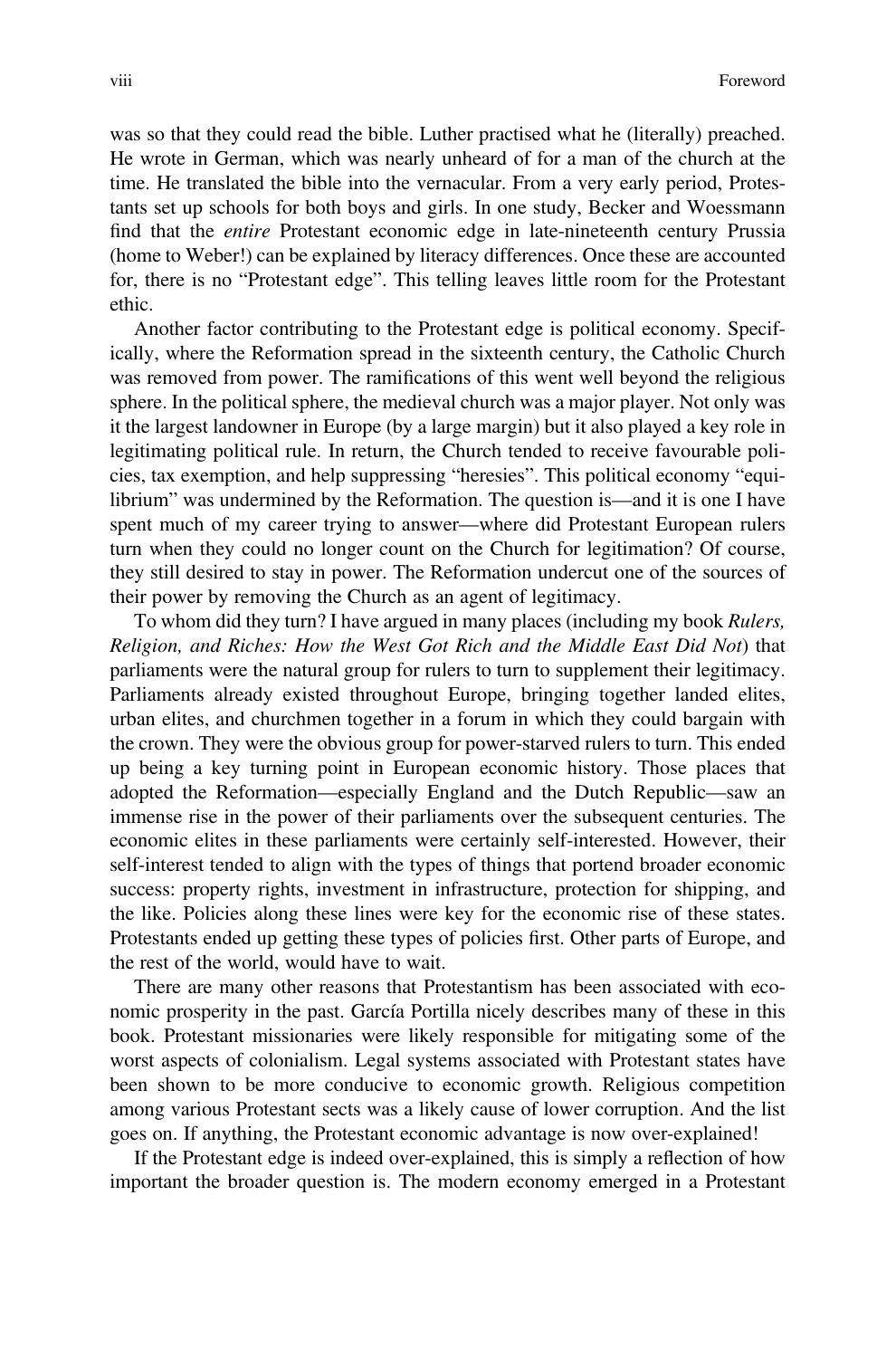was so that they could read the bible. Luther practised what he (literally) preached. He wrote in German, which was nearly unheard of for a man of the church at the time. He translated the bible into the vernacular. From a very early period, Protestants set up schools for both boys and girls. In one study, Becker and Woessmann find that the entire Protestant economic edge in late-nineteenth century Prussia (home to Weber!) can be explained by literacy differences. Once these are accounted for, there is no "Protestant edge". This telling leaves little room for the Protestant ethic.

Another factor contributing to the Protestant edge is political economy. Specifically, where the Reformation spread in the sixteenth century, the Catholic Church was removed from power. The ramifications of this went well beyond the religious sphere. In the political sphere, the medieval church was a major player. Not only was it the largest landowner in Europe (by a large margin) but it also played a key role in legitimating political rule. In return, the Church tended to receive favourable policies, tax exemption, and help suppressing "heresies". This political economy "equilibrium" was undermined by the Reformation. The question is—and it is one I have spent much of my career trying to answer—where did Protestant European rulers turn when they could no longer count on the Church for legitimation? Of course, they still desired to stay in power. The Reformation undercut one of the sources of their power by removing the Church as an agent of legitimacy.

To whom did they turn? I have argued in many places (including my book Rulers, Religion, and Riches: How the West Got Rich and the Middle East Did Not) that parliaments were the natural group for rulers to turn to supplement their legitimacy. Parliaments already existed throughout Europe, bringing together landed elites, urban elites, and churchmen together in a forum in which they could bargain with the crown. They were the obvious group for power-starved rulers to turn. This ended up being a key turning point in European economic history. Those places that adopted the Reformation—especially England and the Dutch Republic—saw an immense rise in the power of their parliaments over the subsequent centuries. The economic elites in these parliaments were certainly self-interested. However, their self-interest tended to align with the types of things that portend broader economic success: property rights, investment in infrastructure, protection for shipping, and the like. Policies along these lines were key for the economic rise of these states. Protestants ended up getting these types of policies first. Other parts of Europe, and the rest of the world, would have to wait.

There are many other reasons that Protestantism has been associated with economic prosperity in the past. García Portilla nicely describes many of these in this book. Protestant missionaries were likely responsible for mitigating some of the worst aspects of colonialism. Legal systems associated with Protestant states have been shown to be more conducive to economic growth. Religious competition among various Protestant sects was a likely cause of lower corruption. And the list goes on. If anything, the Protestant economic advantage is now over-explained!

If the Protestant edge is indeed over-explained, this is simply a reflection of how important the broader question is. The modern economy emerged in a Protestant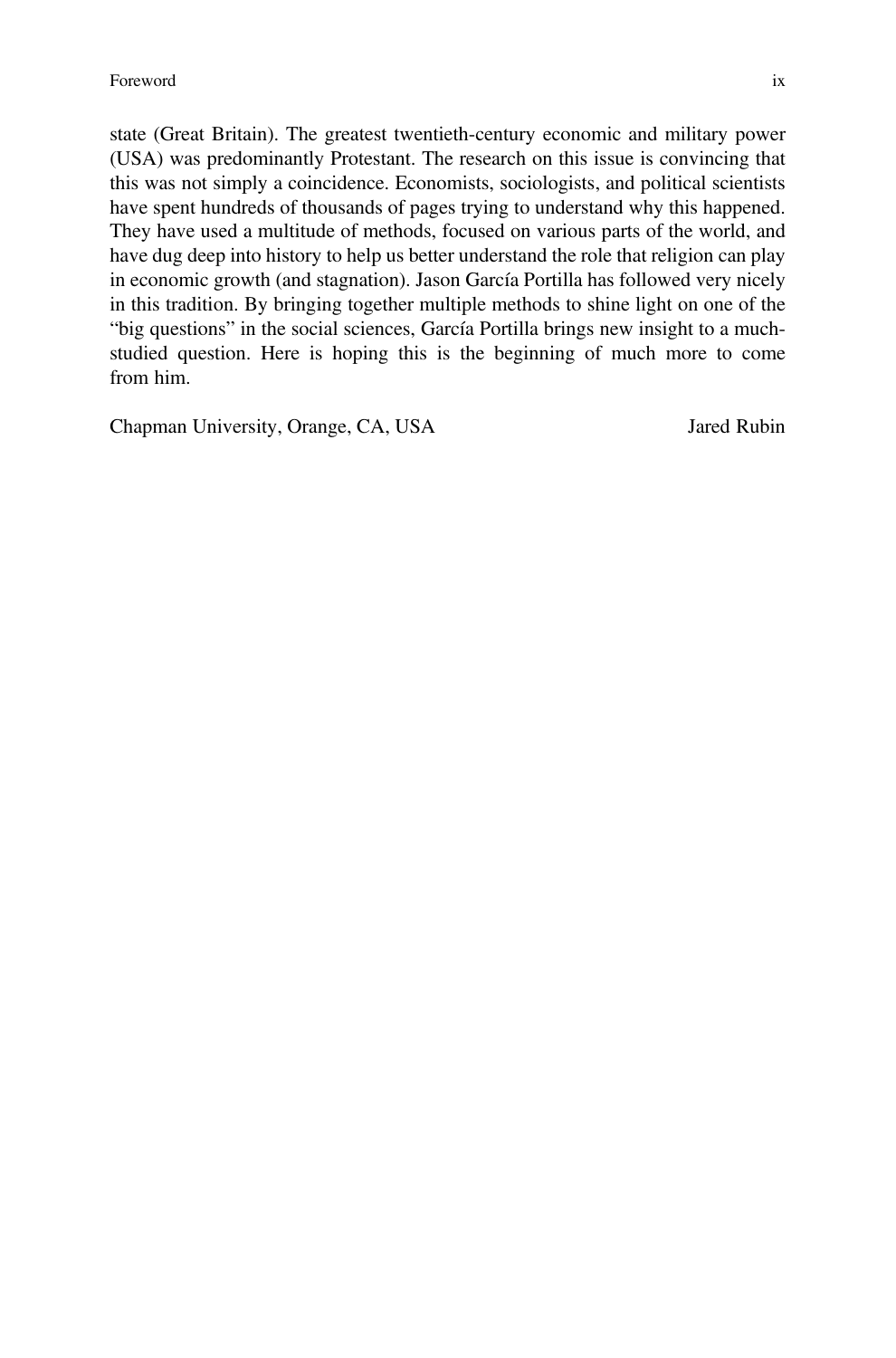state (Great Britain). The greatest twentieth-century economic and military power (USA) was predominantly Protestant. The research on this issue is convincing that this was not simply a coincidence. Economists, sociologists, and political scientists have spent hundreds of thousands of pages trying to understand why this happened. They have used a multitude of methods, focused on various parts of the world, and have dug deep into history to help us better understand the role that religion can play in economic growth (and stagnation). Jason García Portilla has followed very nicely in this tradition. By bringing together multiple methods to shine light on one of the "big questions" in the social sciences, García Portilla brings new insight to a muchstudied question. Here is hoping this is the beginning of much more to come from him.

Chapman University, Orange, CA, USA Jared Rubin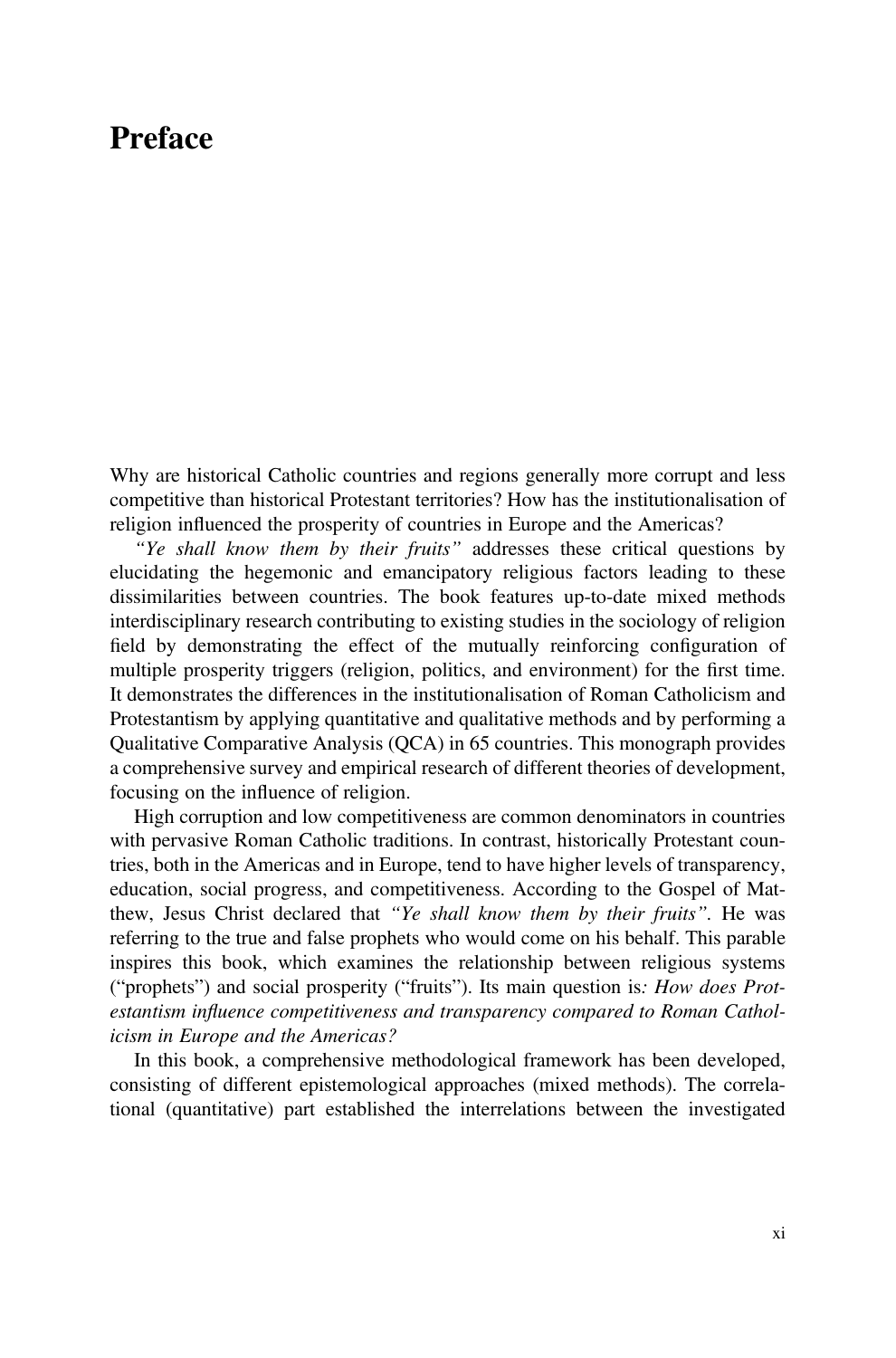## Preface

Why are historical Catholic countries and regions generally more corrupt and less competitive than historical Protestant territories? How has the institutionalisation of religion influenced the prosperity of countries in Europe and the Americas?

"Ye shall know them by their fruits" addresses these critical questions by elucidating the hegemonic and emancipatory religious factors leading to these dissimilarities between countries. The book features up-to-date mixed methods interdisciplinary research contributing to existing studies in the sociology of religion field by demonstrating the effect of the mutually reinforcing configuration of multiple prosperity triggers (religion, politics, and environment) for the first time. It demonstrates the differences in the institutionalisation of Roman Catholicism and Protestantism by applying quantitative and qualitative methods and by performing a Qualitative Comparative Analysis (QCA) in 65 countries. This monograph provides a comprehensive survey and empirical research of different theories of development, focusing on the influence of religion.

High corruption and low competitiveness are common denominators in countries with pervasive Roman Catholic traditions. In contrast, historically Protestant countries, both in the Americas and in Europe, tend to have higher levels of transparency, education, social progress, and competitiveness. According to the Gospel of Matthew, Jesus Christ declared that "Ye shall know them by their fruits". He was referring to the true and false prophets who would come on his behalf. This parable inspires this book, which examines the relationship between religious systems ("prophets") and social prosperity ("fruits"). Its main question is: How does Protestantism influence competitiveness and transparency compared to Roman Catholicism in Europe and the Americas?

In this book, a comprehensive methodological framework has been developed, consisting of different epistemological approaches (mixed methods). The correlational (quantitative) part established the interrelations between the investigated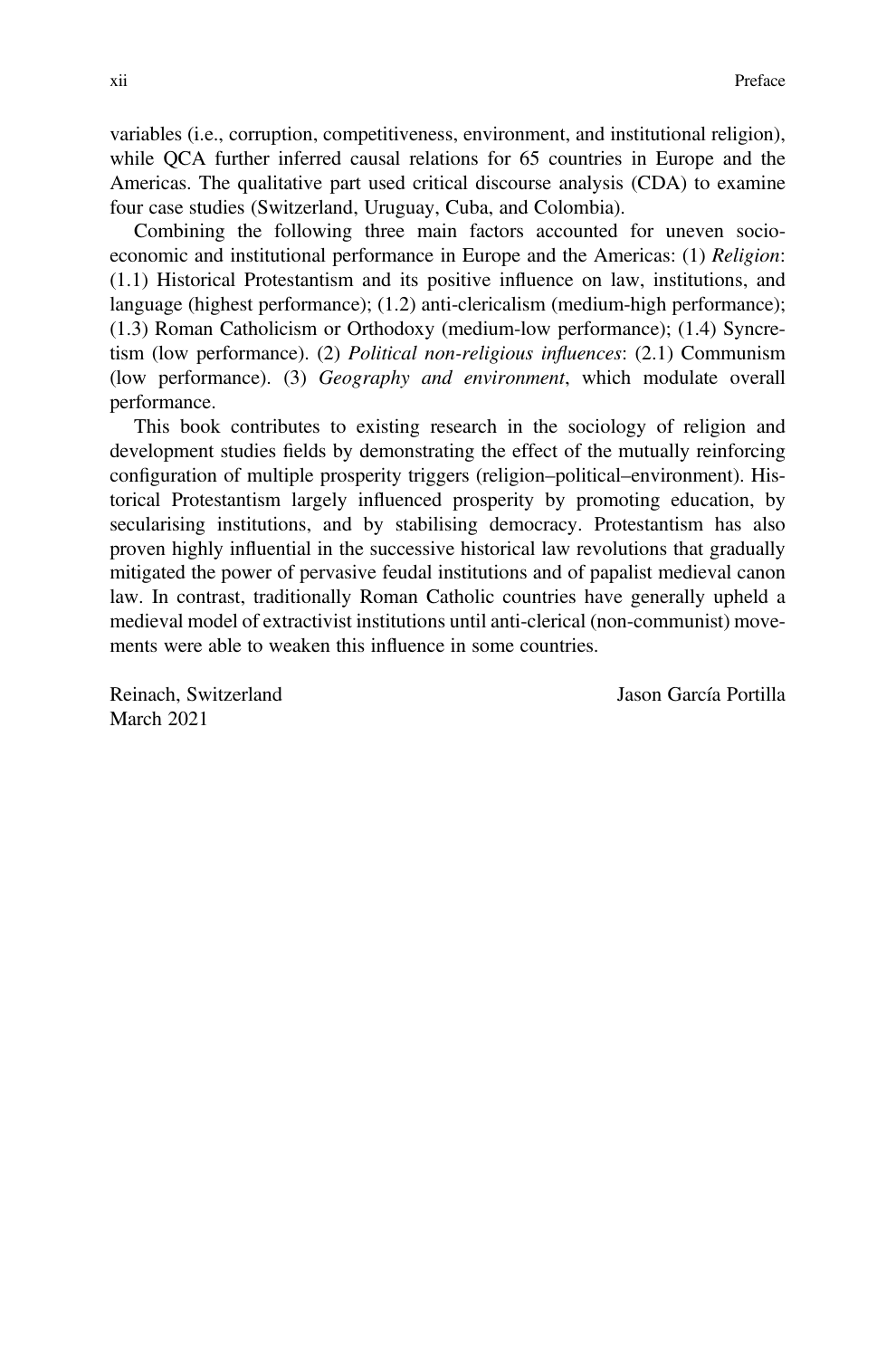variables (i.e., corruption, competitiveness, environment, and institutional religion), while QCA further inferred causal relations for 65 countries in Europe and the Americas. The qualitative part used critical discourse analysis (CDA) to examine four case studies (Switzerland, Uruguay, Cuba, and Colombia).

Combining the following three main factors accounted for uneven socioeconomic and institutional performance in Europe and the Americas: (1) Religion: (1.1) Historical Protestantism and its positive influence on law, institutions, and language (highest performance); (1.2) anti-clericalism (medium-high performance); (1.3) Roman Catholicism or Orthodoxy (medium-low performance); (1.4) Syncretism (low performance). (2) Political non-religious influences: (2.1) Communism (low performance). (3) Geography and environment, which modulate overall performance.

This book contributes to existing research in the sociology of religion and development studies fields by demonstrating the effect of the mutually reinforcing configuration of multiple prosperity triggers (religion–political–environment). Historical Protestantism largely influenced prosperity by promoting education, by secularising institutions, and by stabilising democracy. Protestantism has also proven highly influential in the successive historical law revolutions that gradually mitigated the power of pervasive feudal institutions and of papalist medieval canon law. In contrast, traditionally Roman Catholic countries have generally upheld a medieval model of extractivist institutions until anti-clerical (non-communist) movements were able to weaken this influence in some countries.

March 2021

Reinach, Switzerland Jason García Portilla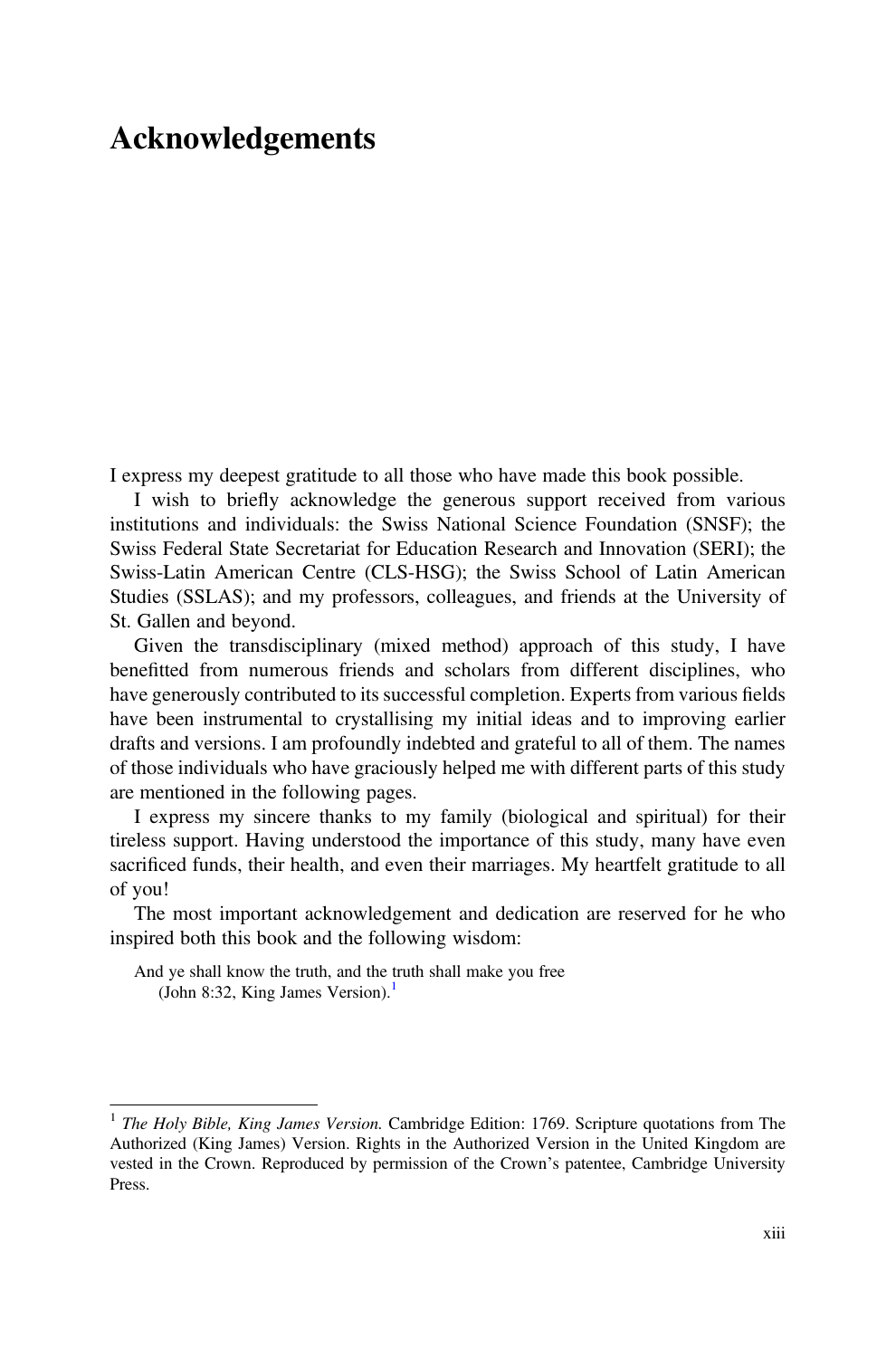## Acknowledgements

I express my deepest gratitude to all those who have made this book possible.

I wish to briefly acknowledge the generous support received from various institutions and individuals: the Swiss National Science Foundation (SNSF); the Swiss Federal State Secretariat for Education Research and Innovation (SERI); the Swiss-Latin American Centre (CLS-HSG); the Swiss School of Latin American Studies (SSLAS); and my professors, colleagues, and friends at the University of St. Gallen and beyond.

Given the transdisciplinary (mixed method) approach of this study, I have benefitted from numerous friends and scholars from different disciplines, who have generously contributed to its successful completion. Experts from various fields have been instrumental to crystallising my initial ideas and to improving earlier drafts and versions. I am profoundly indebted and grateful to all of them. The names of those individuals who have graciously helped me with different parts of this study are mentioned in the following pages.

I express my sincere thanks to my family (biological and spiritual) for their tireless support. Having understood the importance of this study, many have even sacrificed funds, their health, and even their marriages. My heartfelt gratitude to all of you!

The most important acknowledgement and dedication are reserved for he who inspired both this book and the following wisdom:

And ye shall know the truth, and the truth shall make you free (John 8:32, King James Version).<sup>[1](#page-10-0)</sup>

<span id="page-10-0"></span> $1$  The Holy Bible, King James Version. Cambridge Edition: 1769. Scripture quotations from The Authorized (King James) Version. Rights in the Authorized Version in the United Kingdom are vested in the Crown. Reproduced by permission of the Crown's patentee, Cambridge University Press.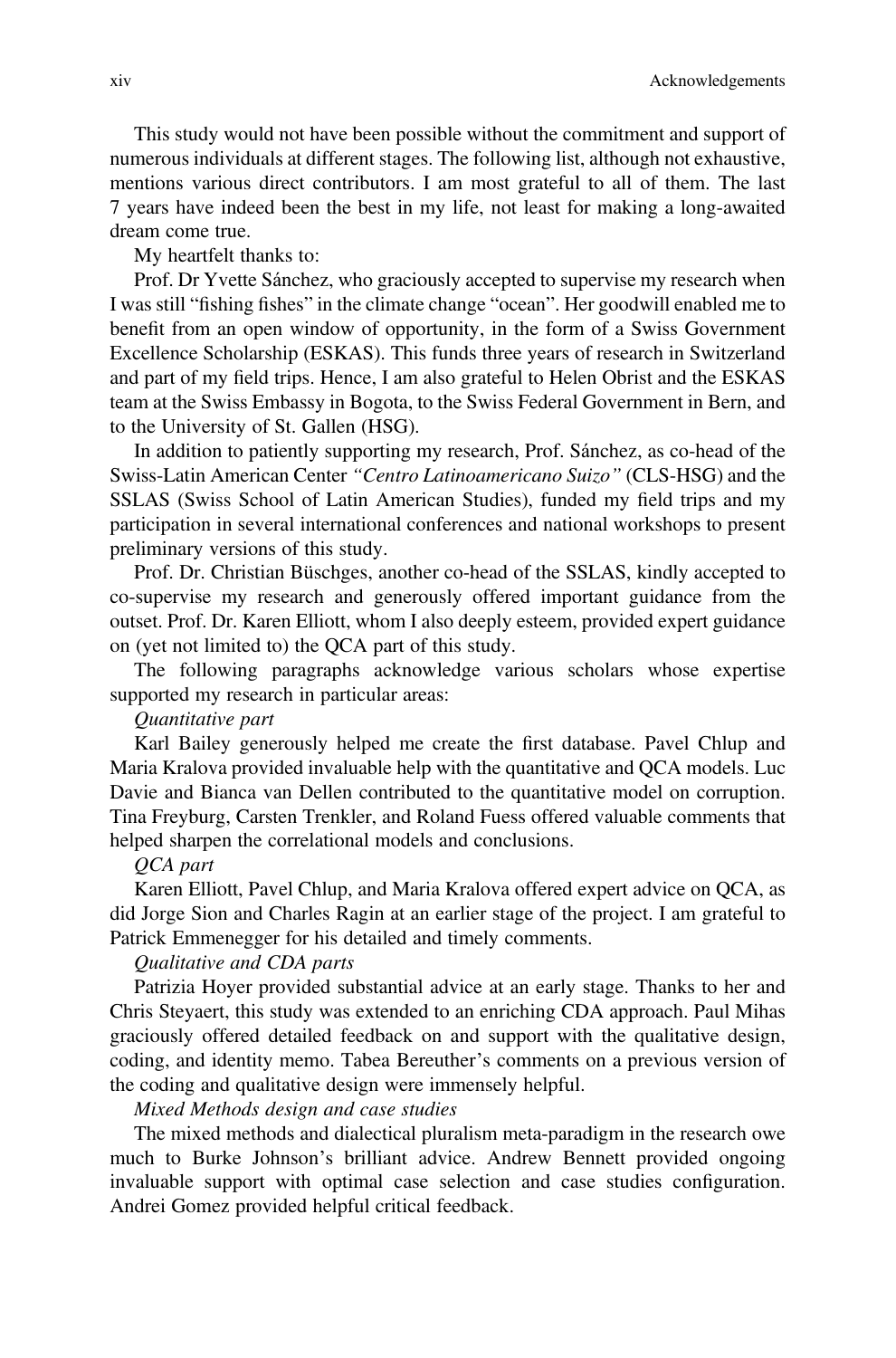This study would not have been possible without the commitment and support of numerous individuals at different stages. The following list, although not exhaustive, mentions various direct contributors. I am most grateful to all of them. The last 7 years have indeed been the best in my life, not least for making a long-awaited dream come true.

My heartfelt thanks to:

Prof. Dr Yvette Sánchez, who graciously accepted to supervise my research when I was still "fishing fishes" in the climate change "ocean". Her goodwill enabled me to benefit from an open window of opportunity, in the form of a Swiss Government Excellence Scholarship (ESKAS). This funds three years of research in Switzerland and part of my field trips. Hence, I am also grateful to Helen Obrist and the ESKAS team at the Swiss Embassy in Bogota, to the Swiss Federal Government in Bern, and to the University of St. Gallen (HSG).

In addition to patiently supporting my research, Prof. Sánchez, as co-head of the Swiss-Latin American Center "Centro Latinoamericano Suizo" (CLS-HSG) and the SSLAS (Swiss School of Latin American Studies), funded my field trips and my participation in several international conferences and national workshops to present preliminary versions of this study.

Prof. Dr. Christian Büschges, another co-head of the SSLAS, kindly accepted to co-supervise my research and generously offered important guidance from the outset. Prof. Dr. Karen Elliott, whom I also deeply esteem, provided expert guidance on (yet not limited to) the QCA part of this study.

The following paragraphs acknowledge various scholars whose expertise supported my research in particular areas:

#### Quantitative part

Karl Bailey generously helped me create the first database. Pavel Chlup and Maria Kralova provided invaluable help with the quantitative and QCA models. Luc Davie and Bianca van Dellen contributed to the quantitative model on corruption. Tina Freyburg, Carsten Trenkler, and Roland Fuess offered valuable comments that helped sharpen the correlational models and conclusions.

#### QCA part

Karen Elliott, Pavel Chlup, and Maria Kralova offered expert advice on QCA, as did Jorge Sion and Charles Ragin at an earlier stage of the project. I am grateful to Patrick Emmenegger for his detailed and timely comments.

#### Qualitative and CDA parts

Patrizia Hoyer provided substantial advice at an early stage. Thanks to her and Chris Steyaert, this study was extended to an enriching CDA approach. Paul Mihas graciously offered detailed feedback on and support with the qualitative design, coding, and identity memo. Tabea Bereuther's comments on a previous version of the coding and qualitative design were immensely helpful.

#### Mixed Methods design and case studies

The mixed methods and dialectical pluralism meta-paradigm in the research owe much to Burke Johnson's brilliant advice. Andrew Bennett provided ongoing invaluable support with optimal case selection and case studies configuration. Andrei Gomez provided helpful critical feedback.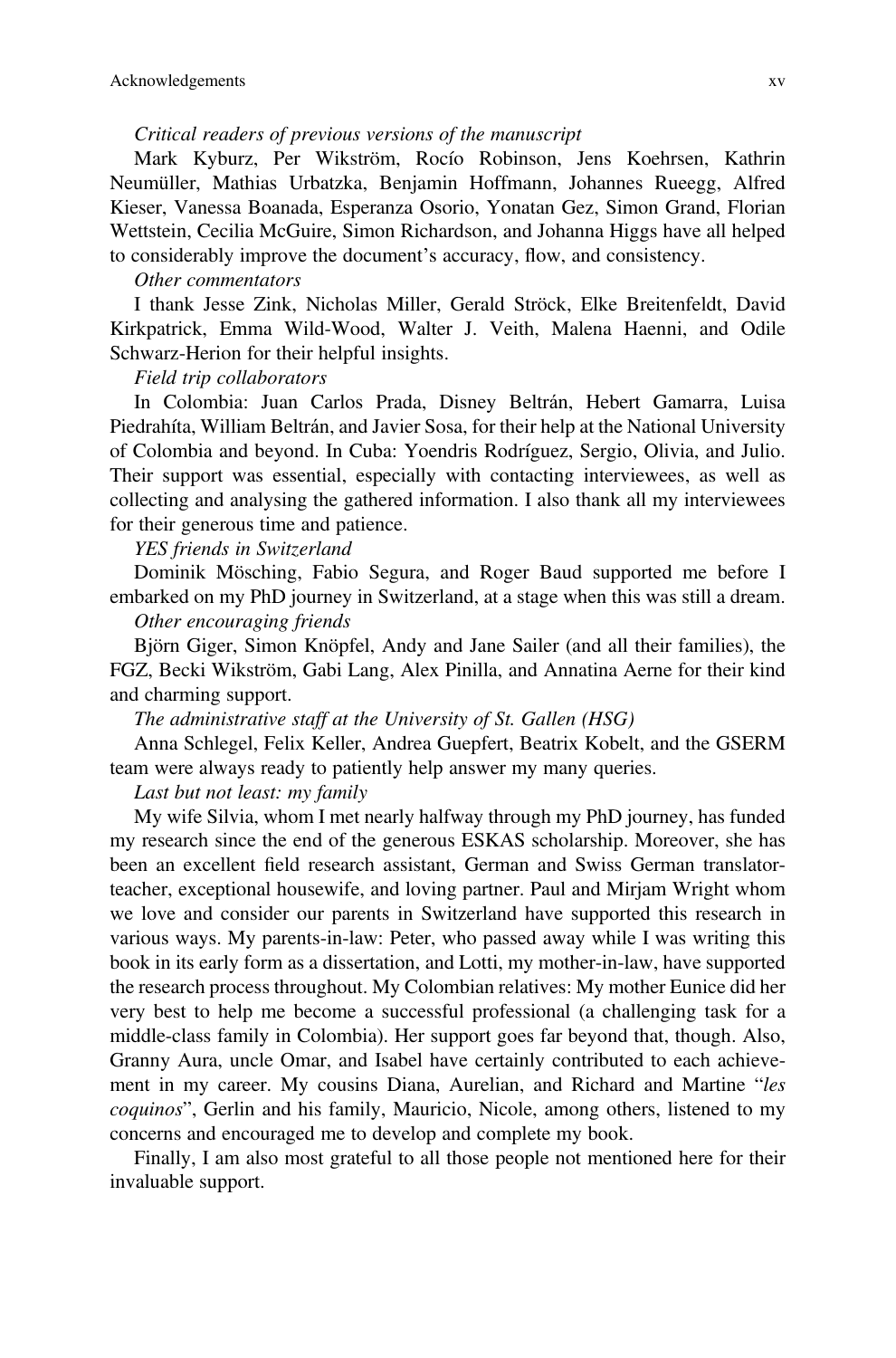#### Critical readers of previous versions of the manuscript

Mark Kyburz, Per Wikström, Rocío Robinson, Jens Koehrsen, Kathrin Neumüller, Mathias Urbatzka, Benjamin Hoffmann, Johannes Rueegg, Alfred Kieser, Vanessa Boanada, Esperanza Osorio, Yonatan Gez, Simon Grand, Florian Wettstein, Cecilia McGuire, Simon Richardson, and Johanna Higgs have all helped to considerably improve the document's accuracy, flow, and consistency.

Other commentators

I thank Jesse Zink, Nicholas Miller, Gerald Ströck, Elke Breitenfeldt, David Kirkpatrick, Emma Wild-Wood, Walter J. Veith, Malena Haenni, and Odile Schwarz-Herion for their helpful insights.

#### Field trip collaborators

In Colombia: Juan Carlos Prada, Disney Beltrán, Hebert Gamarra, Luisa Piedrahíta, William Beltrán, and Javier Sosa, for their help at the National University of Colombia and beyond. In Cuba: Yoendris Rodríguez, Sergio, Olivia, and Julio. Their support was essential, especially with contacting interviewees, as well as collecting and analysing the gathered information. I also thank all my interviewees for their generous time and patience.

#### YES friends in Switzerland

Dominik Mösching, Fabio Segura, and Roger Baud supported me before I embarked on my PhD journey in Switzerland, at a stage when this was still a dream.

#### Other encouraging friends

Björn Giger, Simon Knöpfel, Andy and Jane Sailer (and all their families), the FGZ, Becki Wikström, Gabi Lang, Alex Pinilla, and Annatina Aerne for their kind and charming support.

The administrative staff at the University of St. Gallen (HSG)

Anna Schlegel, Felix Keller, Andrea Guepfert, Beatrix Kobelt, and the GSERM team were always ready to patiently help answer my many queries.

Last but not least: my family

My wife Silvia, whom I met nearly halfway through my PhD journey, has funded my research since the end of the generous ESKAS scholarship. Moreover, she has been an excellent field research assistant, German and Swiss German translatorteacher, exceptional housewife, and loving partner. Paul and Mirjam Wright whom we love and consider our parents in Switzerland have supported this research in various ways. My parents-in-law: Peter, who passed away while I was writing this book in its early form as a dissertation, and Lotti, my mother-in-law, have supported the research process throughout. My Colombian relatives: My mother Eunice did her very best to help me become a successful professional (a challenging task for a middle-class family in Colombia). Her support goes far beyond that, though. Also, Granny Aura, uncle Omar, and Isabel have certainly contributed to each achievement in my career. My cousins Diana, Aurelian, and Richard and Martine "les coquinos", Gerlin and his family, Mauricio, Nicole, among others, listened to my concerns and encouraged me to develop and complete my book.

Finally, I am also most grateful to all those people not mentioned here for their invaluable support.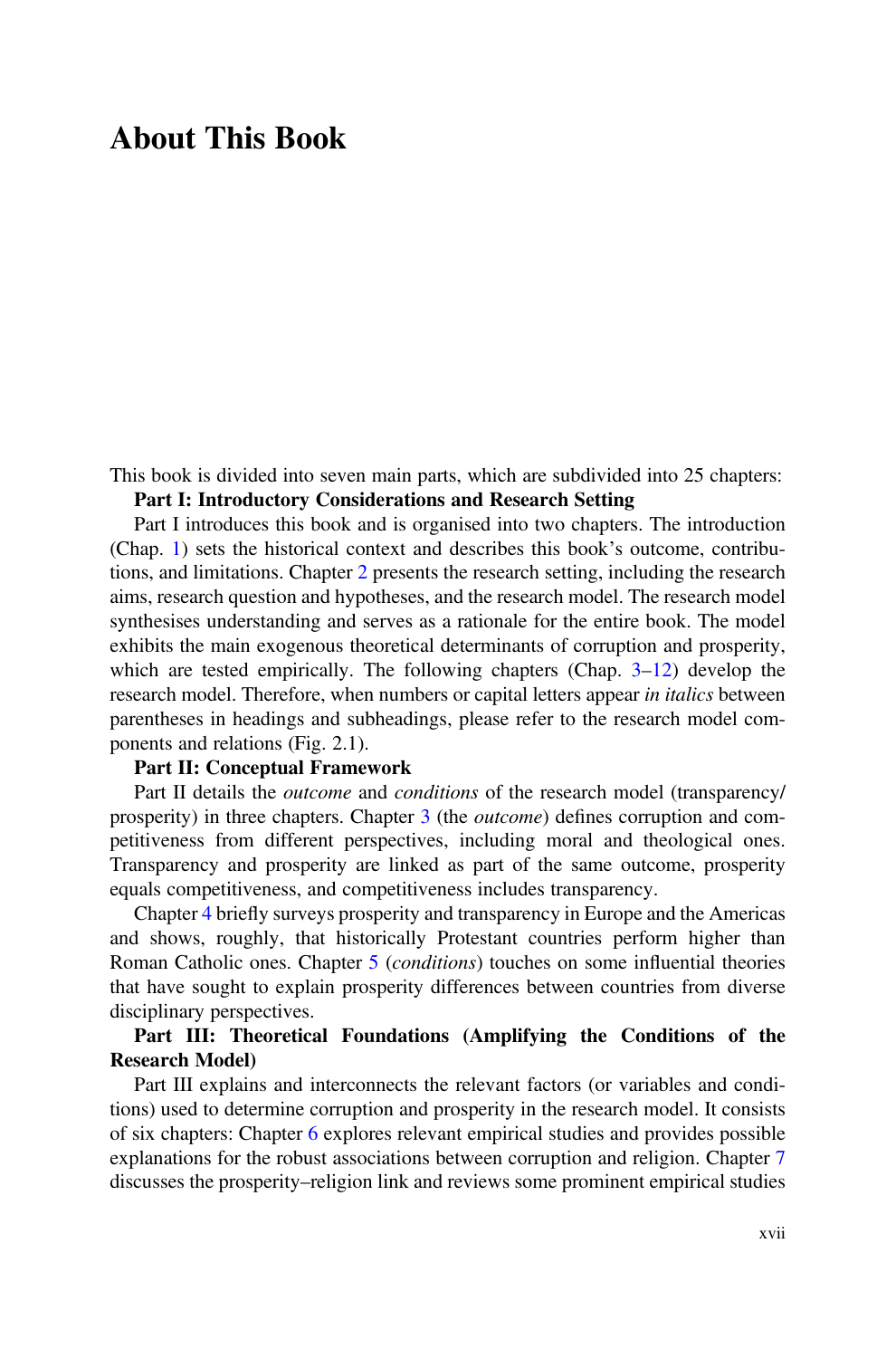## About This Book

This book is divided into seven main parts, which are subdivided into 25 chapters:

#### Part I: Introductory Considerations and Research Setting

Part I introduces this book and is organised into two chapters. The introduction (Chap. [1](https://doi.org/10.1007/978-3-030-78498-0_1)) sets the historical context and describes this book's outcome, contributions, and limitations. Chapter [2](https://doi.org/10.1007/978-3-030-78498-0_2) presents the research setting, including the research aims, research question and hypotheses, and the research model. The research model synthesises understanding and serves as a rationale for the entire book. The model exhibits the main exogenous theoretical determinants of corruption and prosperity, which are tested empirically. The following chapters (Chap.  $3-12$  $3-12$ ) develop the research model. Therefore, when numbers or capital letters appear in italics between parentheses in headings and subheadings, please refer to the research model components and relations (Fig. 2.1).

#### Part II: Conceptual Framework

Part II details the outcome and conditions of the research model (transparency/ prosperity) in three chapters. Chapter [3](https://doi.org/10.1007/978-3-030-78498-0_3) (the outcome) defines corruption and competitiveness from different perspectives, including moral and theological ones. Transparency and prosperity are linked as part of the same outcome, prosperity equals competitiveness, and competitiveness includes transparency.

Chapter [4](https://doi.org/10.1007/978-3-030-78498-0_4) briefly surveys prosperity and transparency in Europe and the Americas and shows, roughly, that historically Protestant countries perform higher than Roman Catholic ones. Chapter [5](https://doi.org/10.1007/978-3-030-78498-0_5) (conditions) touches on some influential theories that have sought to explain prosperity differences between countries from diverse disciplinary perspectives.

#### Part III: Theoretical Foundations (Amplifying the Conditions of the Research Model)

Part III explains and interconnects the relevant factors (or variables and conditions) used to determine corruption and prosperity in the research model. It consists of six chapters: Chapter [6](https://doi.org/10.1007/978-3-030-78498-0_6) explores relevant empirical studies and provides possible explanations for the robust associations between corruption and religion. Chapter [7](https://doi.org/10.1007/978-3-030-78498-0_7) discusses the prosperity–religion link and reviews some prominent empirical studies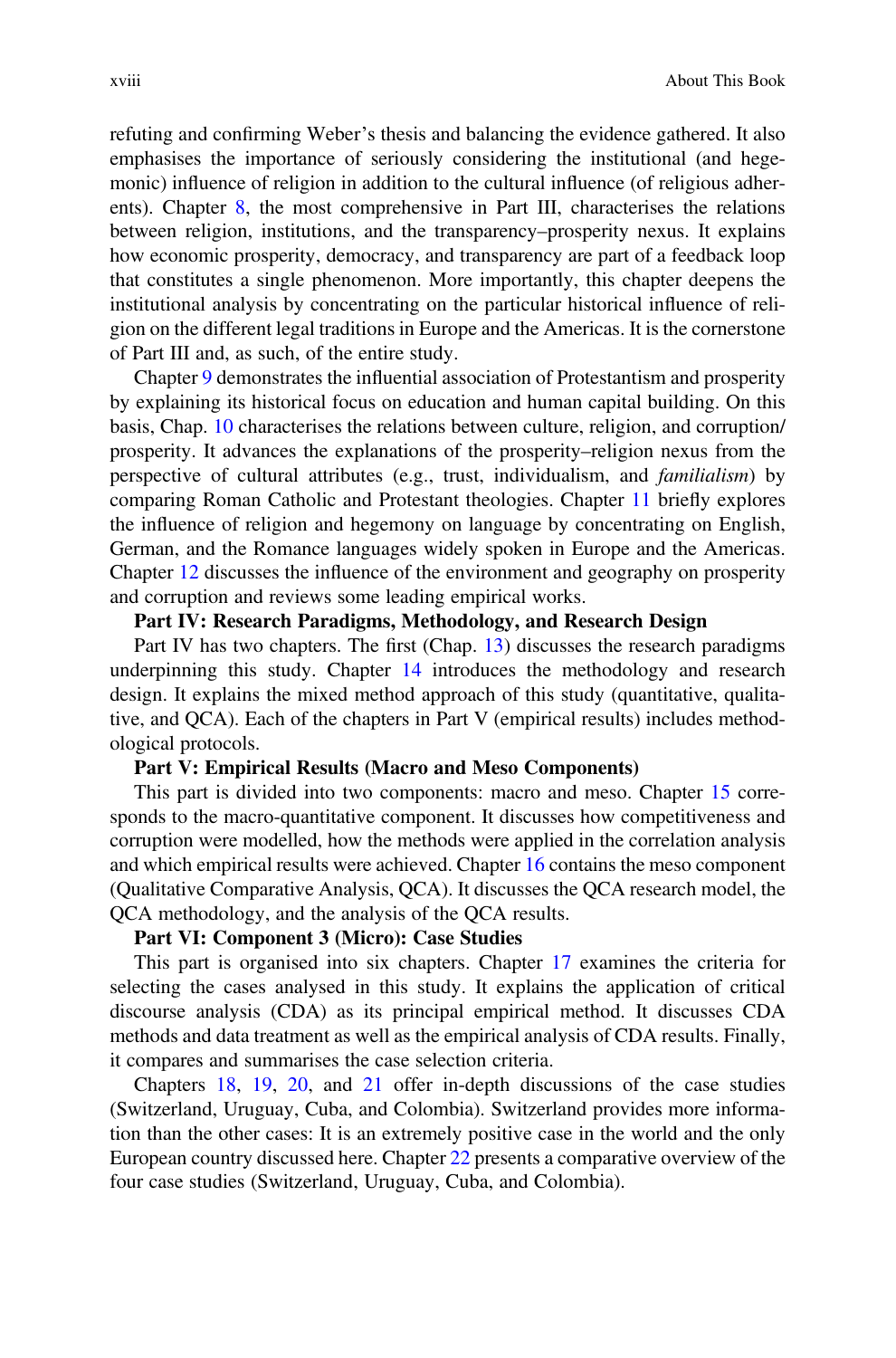refuting and confirming Weber's thesis and balancing the evidence gathered. It also emphasises the importance of seriously considering the institutional (and hegemonic) influence of religion in addition to the cultural influence (of religious adherents). Chapter [8](https://doi.org/10.1007/978-3-030-78498-0_8), the most comprehensive in Part III, characterises the relations between religion, institutions, and the transparency–prosperity nexus. It explains how economic prosperity, democracy, and transparency are part of a feedback loop that constitutes a single phenomenon. More importantly, this chapter deepens the institutional analysis by concentrating on the particular historical influence of religion on the different legal traditions in Europe and the Americas. It is the cornerstone of Part III and, as such, of the entire study.

Chapter [9](https://doi.org/10.1007/978-3-030-78498-0_9) demonstrates the influential association of Protestantism and prosperity by explaining its historical focus on education and human capital building. On this basis, Chap. [10](https://doi.org/10.1007/978-3-030-78498-0_10) characterises the relations between culture, religion, and corruption/ prosperity. It advances the explanations of the prosperity–religion nexus from the perspective of cultural attributes (e.g., trust, individualism, and familialism) by comparing Roman Catholic and Protestant theologies. Chapter [11](https://doi.org/10.1007/978-3-030-78498-0_11) briefly explores the influence of religion and hegemony on language by concentrating on English, German, and the Romance languages widely spoken in Europe and the Americas. Chapter [12](https://doi.org/10.1007/978-3-030-78498-0_12) discusses the influence of the environment and geography on prosperity and corruption and reviews some leading empirical works.

#### Part IV: Research Paradigms, Methodology, and Research Design

Part IV has two chapters. The first  $(Chap. 13)$  $(Chap. 13)$  $(Chap. 13)$  discusses the research paradigms underpinning this study. Chapter [14](https://doi.org/10.1007/978-3-030-78498-0_14) introduces the methodology and research design. It explains the mixed method approach of this study (quantitative, qualitative, and QCA). Each of the chapters in Part V (empirical results) includes methodological protocols.

#### Part V: Empirical Results (Macro and Meso Components)

This part is divided into two components: macro and meso. Chapter [15](https://doi.org/10.1007/978-3-030-78498-0_15) corresponds to the macro-quantitative component. It discusses how competitiveness and corruption were modelled, how the methods were applied in the correlation analysis and which empirical results were achieved. Chapter [16](https://doi.org/10.1007/978-3-030-78498-0_16) contains the meso component (Qualitative Comparative Analysis, QCA). It discusses the QCA research model, the QCA methodology, and the analysis of the QCA results.

#### Part VI: Component 3 (Micro): Case Studies

This part is organised into six chapters. Chapter [17](https://doi.org/10.1007/978-3-030-78498-0_17) examines the criteria for selecting the cases analysed in this study. It explains the application of critical discourse analysis (CDA) as its principal empirical method. It discusses CDA methods and data treatment as well as the empirical analysis of CDA results. Finally, it compares and summarises the case selection criteria.

Chapters [18,](https://doi.org/10.1007/978-3-030-78498-0_18) [19,](https://doi.org/10.1007/978-3-030-78498-0_19) [20](https://doi.org/10.1007/978-3-030-78498-0_20), and [21](https://doi.org/10.1007/978-3-030-78498-0_21) offer in-depth discussions of the case studies (Switzerland, Uruguay, Cuba, and Colombia). Switzerland provides more information than the other cases: It is an extremely positive case in the world and the only European country discussed here. Chapter [22](https://doi.org/10.1007/978-3-030-78498-0_22) presents a comparative overview of the four case studies (Switzerland, Uruguay, Cuba, and Colombia).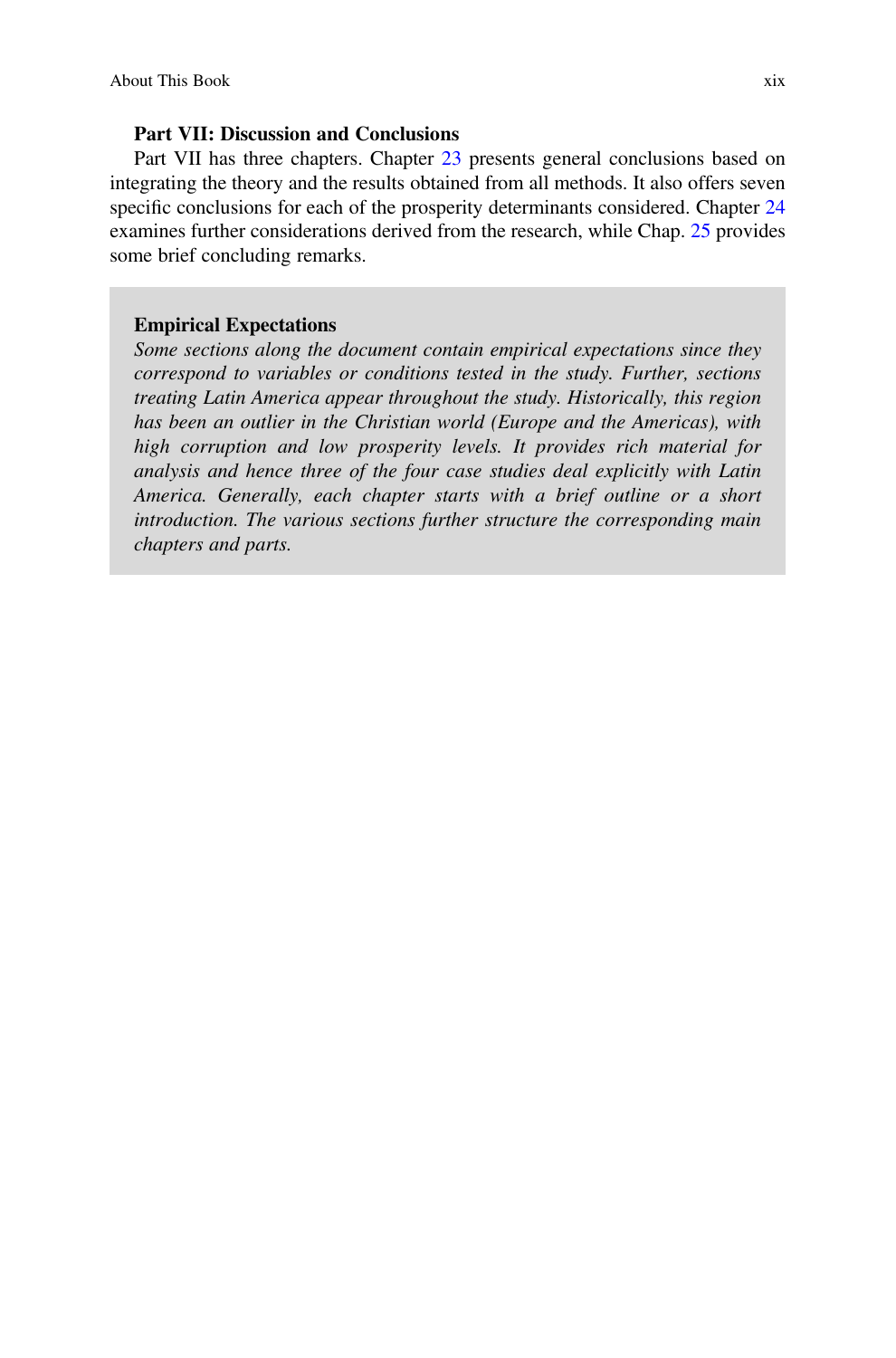#### Part VII: Discussion and Conclusions

Part VII has three chapters. Chapter [23](https://doi.org/10.1007/978-3-030-78498-0_23) presents general conclusions based on integrating the theory and the results obtained from all methods. It also offers seven specific conclusions for each of the prosperity determinants considered. Chapter [24](https://doi.org/10.1007/978-3-030-78498-0_24) examines further considerations derived from the research, while Chap. [25](https://doi.org/10.1007/978-3-030-78498-0_25) provides some brief concluding remarks.

#### Empirical Expectations

Some sections along the document contain empirical expectations since they correspond to variables or conditions tested in the study. Further, sections treating Latin America appear throughout the study. Historically, this region has been an outlier in the Christian world (Europe and the Americas), with high corruption and low prosperity levels. It provides rich material for analysis and hence three of the four case studies deal explicitly with Latin America. Generally, each chapter starts with a brief outline or a short introduction. The various sections further structure the corresponding main chapters and parts.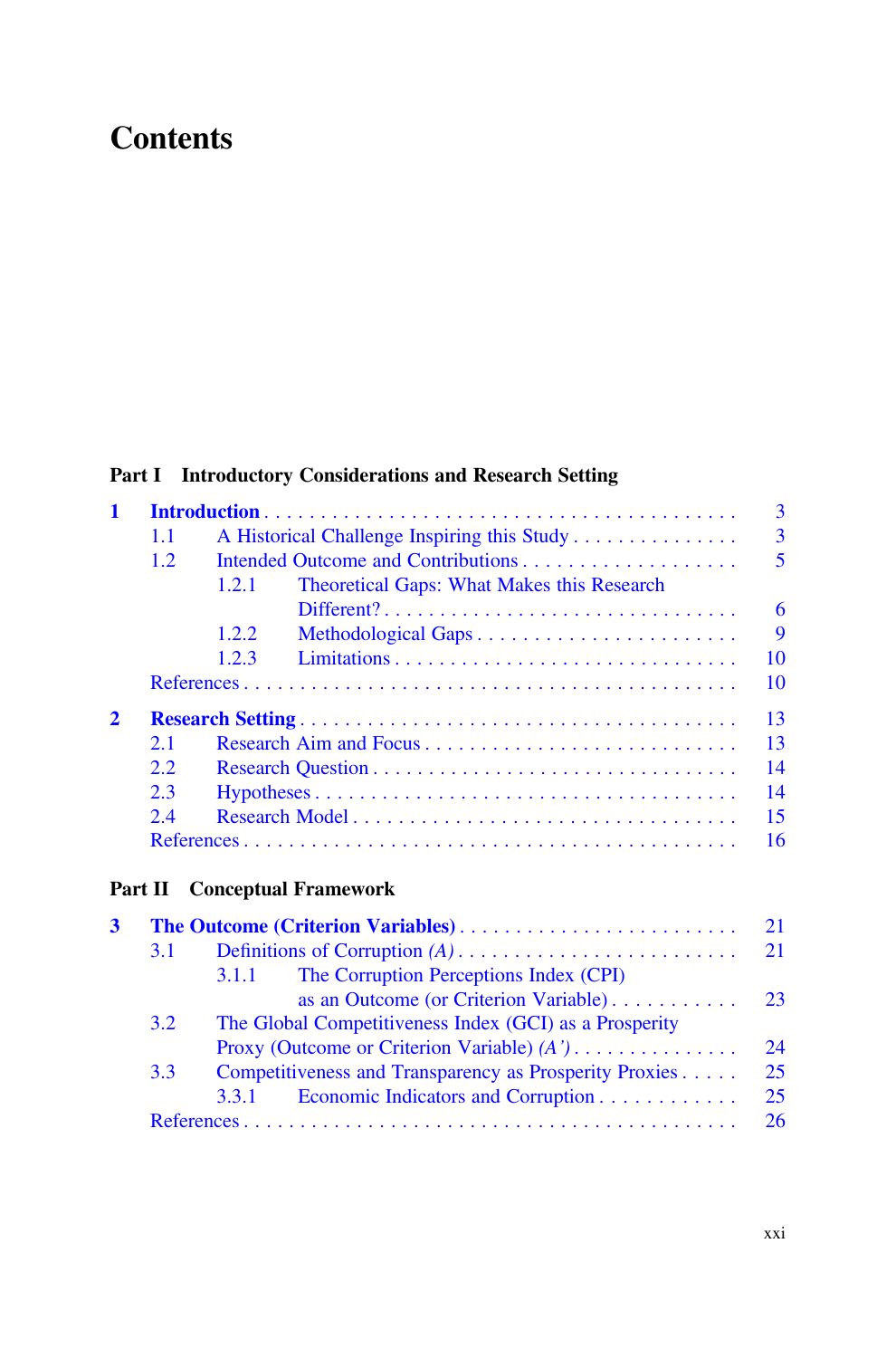## **Contents**

### Part I Introductory Considerations and Research Setting

|              | 1.1  | A Historical Challenge Inspiring this Study                                                                   |  |  |
|--------------|------|---------------------------------------------------------------------------------------------------------------|--|--|
|              | 1.2. |                                                                                                               |  |  |
|              |      | <b>Theoretical Gaps: What Makes this Research</b><br>1.2.1                                                    |  |  |
|              |      | Different?                                                                                                    |  |  |
|              |      | 1.2.2.                                                                                                        |  |  |
|              |      | 10<br>1.2.3                                                                                                   |  |  |
|              |      | 10                                                                                                            |  |  |
| $\mathbf{2}$ |      |                                                                                                               |  |  |
|              | 2.1  | 13                                                                                                            |  |  |
|              | 2.2. | 14                                                                                                            |  |  |
|              | 2.3  | 14<br>$Hypotheses \ldots \ldots \ldots \ldots \ldots \ldots \ldots \ldots \ldots \ldots \ldots \ldots \ldots$ |  |  |
|              | 2.4  | 15                                                                                                            |  |  |
|              |      | 16                                                                                                            |  |  |

### Part II Conceptual Framework

| <b>3.1</b>    |                                                        |    |
|---------------|--------------------------------------------------------|----|
|               | The Corruption Perceptions Index (CPI)<br>3.1.1        |    |
|               | as an Outcome (or Criterion Variable)                  | 23 |
| $3.2^{\circ}$ | The Global Competitiveness Index (GCI) as a Prosperity |    |
|               | Proxy (Outcome or Criterion Variable) $(A')$           | 24 |
| 3.3           | Competitiveness and Transparency as Prosperity Proxies | 25 |
|               | Economic Indicators and Corruption<br>3.3.1            | 25 |
|               |                                                        | 26 |
|               |                                                        |    |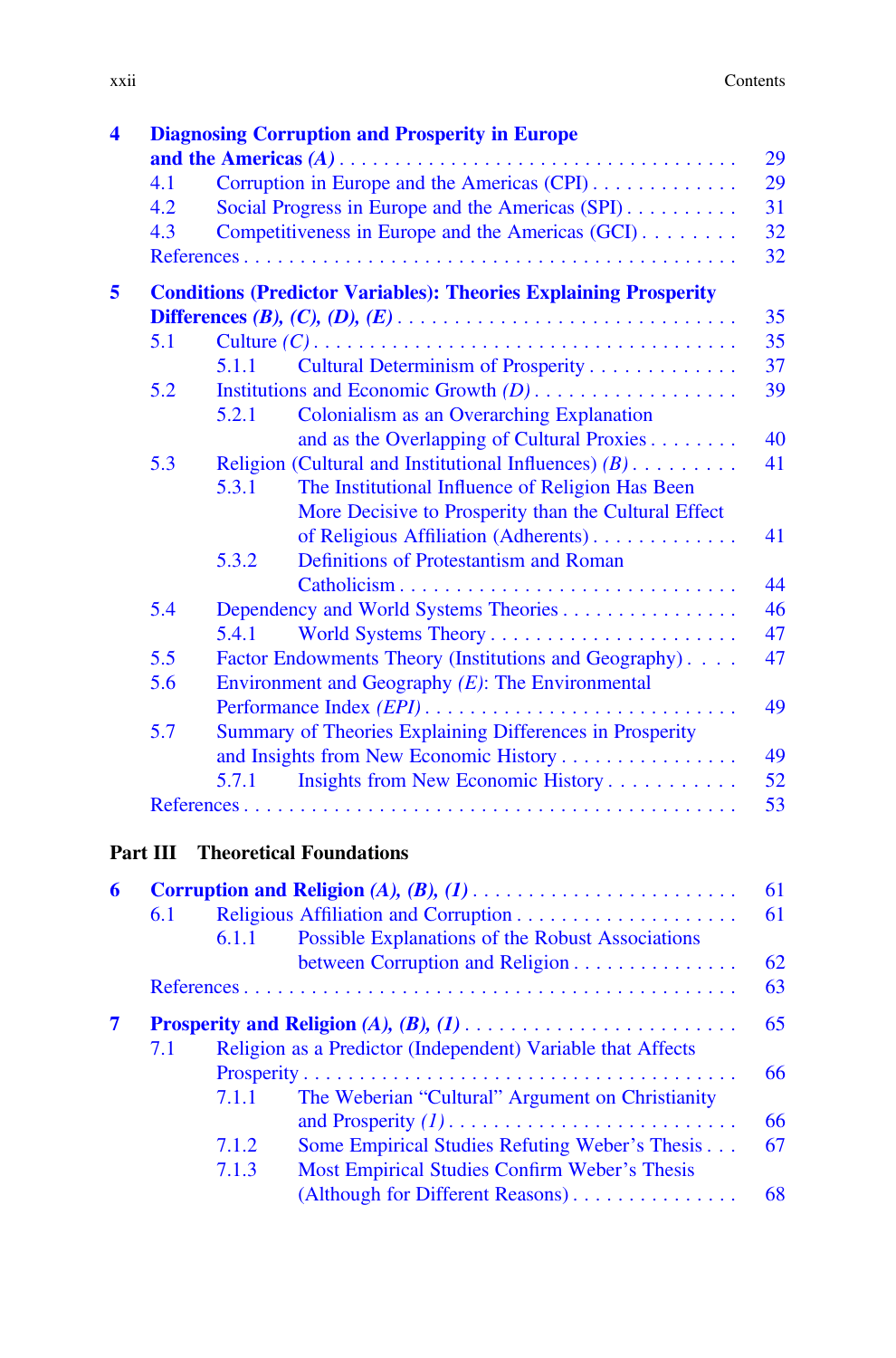|     | <b>Diagnosing Corruption and Prosperity in Europe</b>                   |  |  |
|-----|-------------------------------------------------------------------------|--|--|
|     |                                                                         |  |  |
| 4.1 | Corruption in Europe and the Americas (CPI)                             |  |  |
| 4.2 | Social Progress in Europe and the Americas (SPI)                        |  |  |
| 4.3 | Competitiveness in Europe and the Americas (GCI)                        |  |  |
|     |                                                                         |  |  |
|     | <b>Conditions (Predictor Variables): Theories Explaining Prosperity</b> |  |  |
|     |                                                                         |  |  |
| 5.1 |                                                                         |  |  |
|     | Cultural Determinism of Prosperity<br>5.1.1                             |  |  |
| 5.2 | Institutions and Economic Growth $(D)$                                  |  |  |
|     | Colonialism as an Overarching Explanation<br>5.2.1                      |  |  |
|     | and as the Overlapping of Cultural Proxies                              |  |  |
| 5.3 | Religion (Cultural and Institutional Influences) $(B)$                  |  |  |
|     | The Institutional Influence of Religion Has Been<br>5.3.1               |  |  |
|     | More Decisive to Prosperity than the Cultural Effect                    |  |  |
|     | of Religious Affiliation (Adherents)                                    |  |  |
|     | Definitions of Protestantism and Roman<br>5.3.2                         |  |  |
|     | Catholicism                                                             |  |  |
| 5.4 | Dependency and World Systems Theories                                   |  |  |
|     | 5.4.1                                                                   |  |  |
| 5.5 | Factor Endowments Theory (Institutions and Geography).                  |  |  |
| 5.6 | Environment and Geography $(E)$ : The Environmental                     |  |  |
|     | Performance Index (EPI)                                                 |  |  |
| 5.7 | Summary of Theories Explaining Differences in Prosperity                |  |  |
|     | and Insights from New Economic History                                  |  |  |
|     | Insights from New Economic History<br>5.7.1                             |  |  |
|     |                                                                         |  |  |

## Part III Theoretical Foundations

| 6 |     |       |                                                             | 61 |
|---|-----|-------|-------------------------------------------------------------|----|
|   | 6.1 |       |                                                             | 61 |
|   |     | 6.1.1 | Possible Explanations of the Robust Associations            |    |
|   |     |       | between Corruption and Religion                             | 62 |
|   |     |       |                                                             | 63 |
|   |     |       |                                                             | 65 |
|   | 7.1 |       | Religion as a Predictor (Independent) Variable that Affects |    |
|   |     |       |                                                             | 66 |
|   |     | 7.1.1 | The Weberian "Cultural" Argument on Christianity            |    |
|   |     |       |                                                             | 66 |
|   |     | 7.1.2 | Some Empirical Studies Refuting Weber's Thesis              | 67 |
|   |     | 7.1.3 | Most Empirical Studies Confirm Weber's Thesis               |    |
|   |     |       | (Although for Different Reasons)                            | 68 |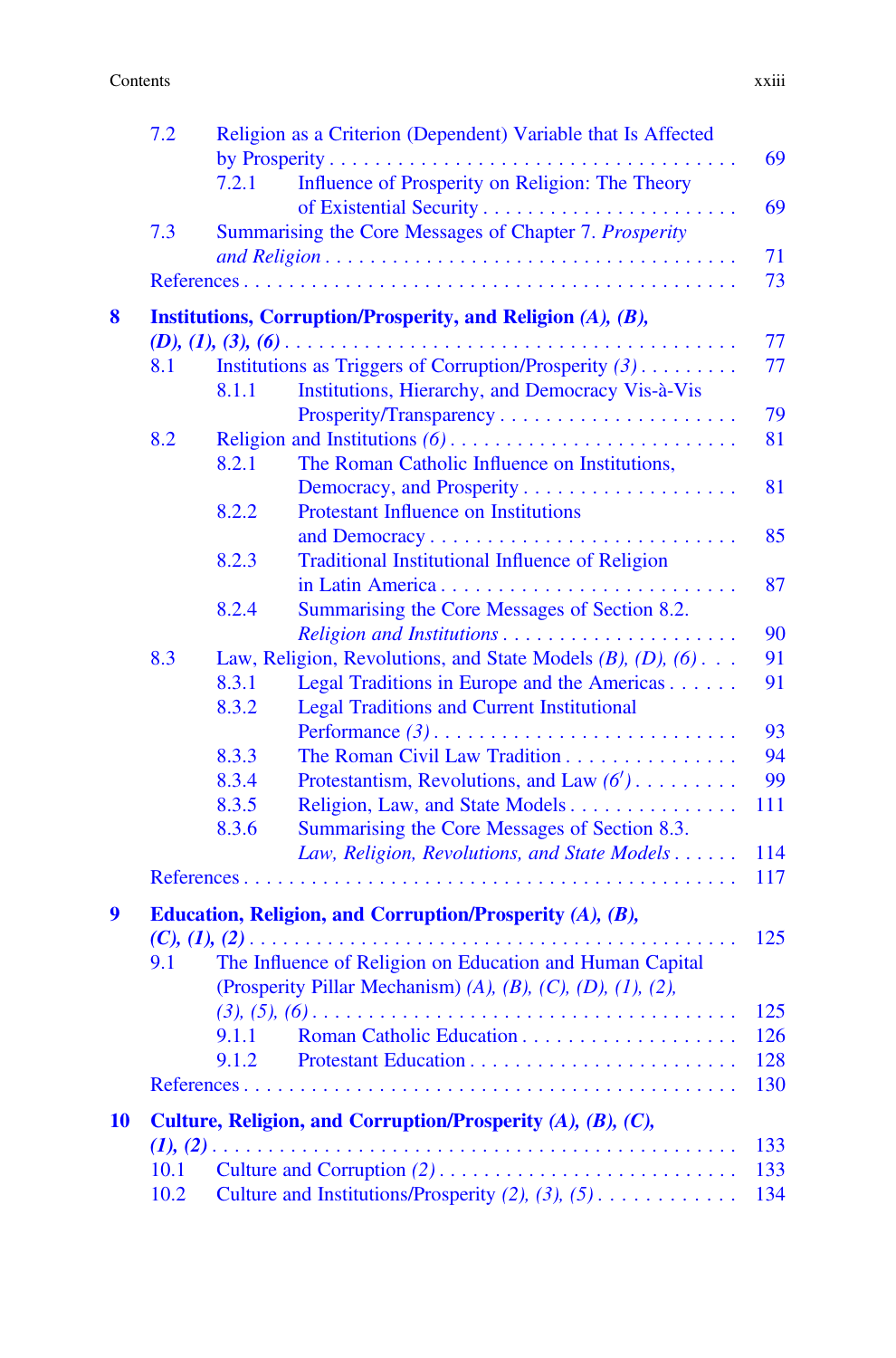#### **Contents** xxiii

|    | 7.2  |       | Religion as a Criterion (Dependent) Variable that Is Affected                             |     |
|----|------|-------|-------------------------------------------------------------------------------------------|-----|
|    |      |       |                                                                                           | 69  |
|    |      | 7.2.1 | Influence of Prosperity on Religion: The Theory                                           |     |
|    |      |       |                                                                                           | 69  |
|    | 7.3  |       | Summarising the Core Messages of Chapter 7. Prosperity                                    |     |
|    |      |       |                                                                                           | 71  |
|    |      |       |                                                                                           | 73  |
| 8  |      |       | Institutions, Corruption/Prosperity, and Religion (A), (B),                               |     |
|    |      |       |                                                                                           | 77  |
|    | 8.1  |       | Institutions as Triggers of Corruption/Prosperity $(3)$                                   | 77  |
|    |      | 8.1.1 | Institutions, Hierarchy, and Democracy Vis-à-Vis                                          |     |
|    |      |       |                                                                                           | 79  |
|    | 8.2  |       |                                                                                           | 81  |
|    |      | 8.2.1 | The Roman Catholic Influence on Institutions,                                             |     |
|    |      |       |                                                                                           | 81  |
|    |      | 8.2.2 | Protestant Influence on Institutions                                                      |     |
|    |      |       |                                                                                           | 85  |
|    |      | 8.2.3 | <b>Traditional Institutional Influence of Religion</b>                                    |     |
|    |      |       | in Latin America                                                                          | 87  |
|    |      | 8.2.4 | Summarising the Core Messages of Section 8.2.                                             |     |
|    |      |       |                                                                                           | 90  |
|    | 8.3  |       | Law, Religion, Revolutions, and State Models $(B)$ , $(D)$ , $(6)$                        | 91  |
|    |      | 8.3.1 | Legal Traditions in Europe and the Americas                                               | 91  |
|    |      | 8.3.2 | <b>Legal Traditions and Current Institutional</b>                                         |     |
|    |      |       |                                                                                           | 93  |
|    |      | 8.3.3 | The Roman Civil Law Tradition                                                             | 94  |
|    |      | 8.3.4 | Protestantism, Revolutions, and Law $(6')$                                                | 99  |
|    |      | 8.3.5 | Religion, Law, and State Models                                                           | 111 |
|    |      | 8.3.6 | Summarising the Core Messages of Section 8.3.                                             |     |
|    |      |       | Law, Religion, Revolutions, and State Models                                              | 114 |
|    |      |       |                                                                                           | 117 |
| 9  |      |       |                                                                                           |     |
|    |      |       | Education, Religion, and Corruption/Prosperity (A), (B),<br>$\mathbb{Z}$ and $\mathbb{Z}$ | 125 |
|    | 9.1  |       | The Influence of Religion on Education and Human Capital                                  |     |
|    |      |       | (Prosperity Pillar Mechanism) (A), (B), (C), (D), (1), (2),                               |     |
|    |      |       |                                                                                           | 125 |
|    |      |       |                                                                                           | 126 |
|    |      | 9.1.2 |                                                                                           | 128 |
|    |      |       |                                                                                           | 130 |
|    |      |       |                                                                                           |     |
| 10 |      |       | Culture, Religion, and Corruption/Prosperity (A), (B), (C),                               |     |
|    |      |       |                                                                                           | 133 |
|    | 10.1 |       |                                                                                           | 133 |
|    | 10.2 |       | Culture and Institutions/Prosperity (2), (3), (5)                                         | 134 |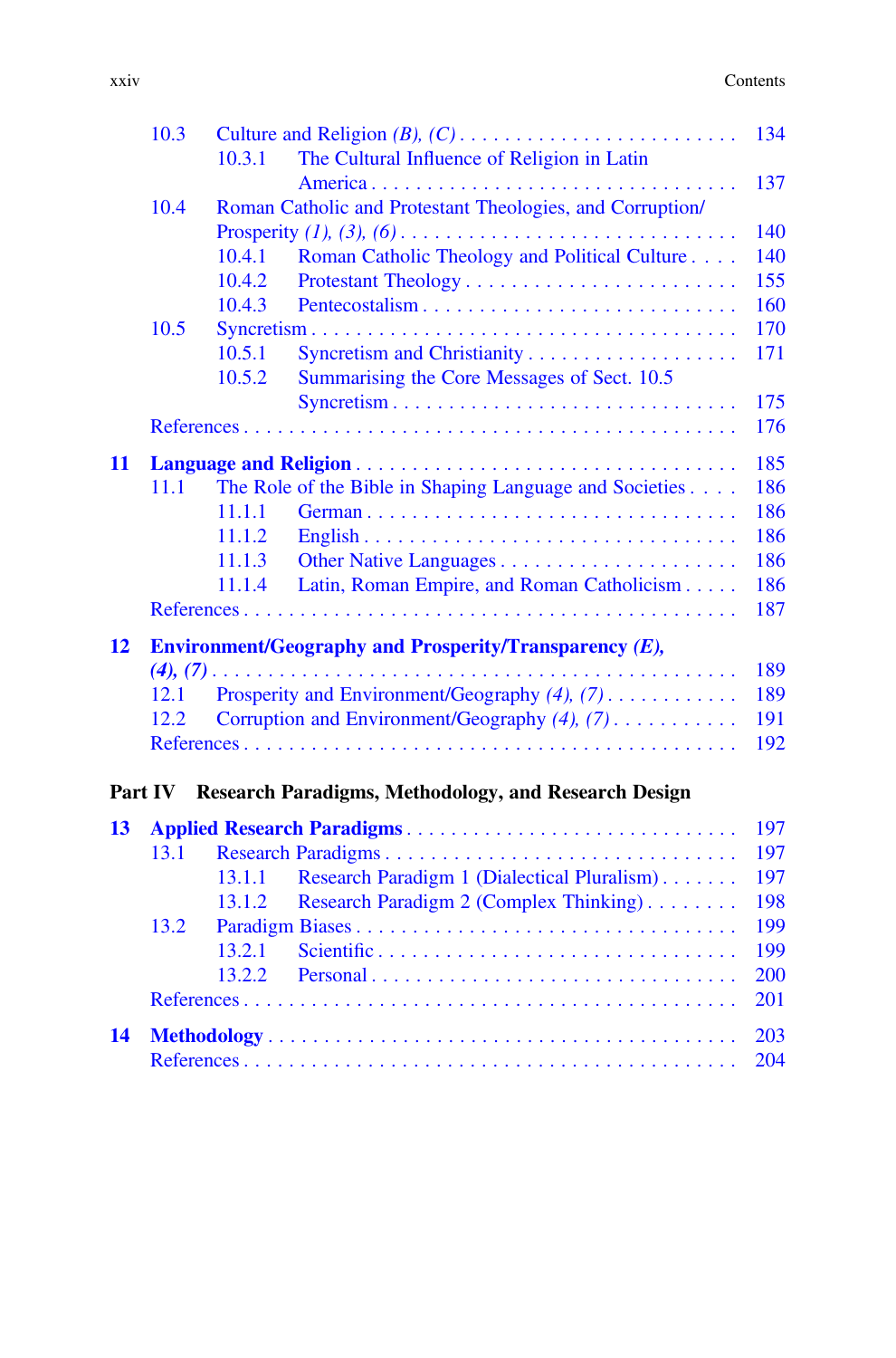|    | 10.3    |                                                           | 134 |
|----|---------|-----------------------------------------------------------|-----|
|    |         | The Cultural Influence of Religion in Latin<br>10.3.1     |     |
|    |         | America                                                   | 137 |
|    | 10.4    | Roman Catholic and Protestant Theologies, and Corruption/ |     |
|    |         |                                                           | 140 |
|    |         | Roman Catholic Theology and Political Culture<br>10.4.1   | 140 |
|    |         | 10.4.2                                                    | 155 |
|    |         | 10.4.3<br>Pentecostalism                                  | 160 |
|    | 10.5    |                                                           | 170 |
|    |         | 10.5.1                                                    | 171 |
|    |         | Summarising the Core Messages of Sect. 10.5<br>10.5.2     |     |
|    |         |                                                           | 175 |
|    |         |                                                           | 176 |
| 11 |         |                                                           | 185 |
|    | 11.1    | The Role of the Bible in Shaping Language and Societies   | 186 |
|    |         | 11.1.1                                                    | 186 |
|    |         | 11.1.2                                                    | 186 |
|    |         | 11.1.3                                                    | 186 |
|    |         | Latin, Roman Empire, and Roman Catholicism<br>11.1.4      | 186 |
|    |         |                                                           | 187 |
|    |         |                                                           |     |
| 12 |         | Environment/Geography and Prosperity/Transparency (E),    |     |
|    |         |                                                           | 189 |
|    | 12.1    | Prosperity and Environment/Geography $(4)$ , $(7)$        | 189 |
|    | 12.2    | Corruption and Environment/Geography $(4)$ , $(7)$        | 191 |
|    |         |                                                           | 192 |
|    |         |                                                           |     |
|    | Part IV | Research Paradigms, Methodology, and Research Design      |     |
| 13 |         | Applied Research Paradigms                                | 197 |
|    | 13.1    |                                                           | 197 |
|    |         | Research Paradigm 1 (Dialectical Pluralism)<br>13.1.1     | 197 |
|    |         | Research Paradigm 2 (Complex Thinking)<br>13.1.2          | 198 |
|    | 13.2    |                                                           | 199 |
|    |         | 13.2.1<br>Scientific                                      | 199 |
|    |         | 13.2.2                                                    | 200 |
|    |         |                                                           | 201 |
|    |         |                                                           |     |
| 14 |         |                                                           | 203 |
|    |         |                                                           | 204 |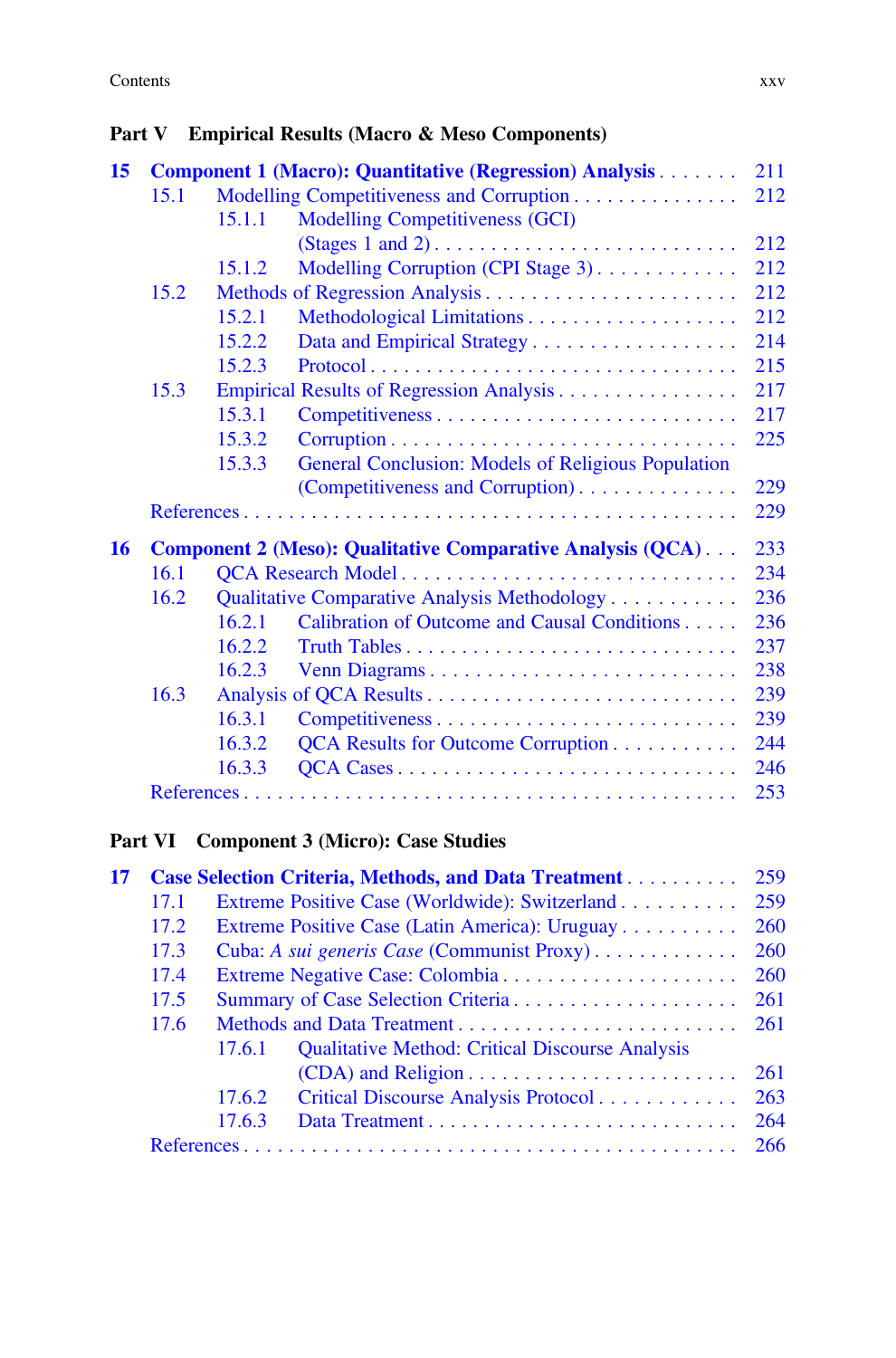### Part V Empirical Results (Macro & Meso Components)

| 15 |      |        | <b>Component 1 (Macro): Quantitative (Regression) Analysis</b>    | 211 |
|----|------|--------|-------------------------------------------------------------------|-----|
|    | 15.1 |        | Modelling Competitiveness and Corruption                          | 212 |
|    |      | 15.1.1 | <b>Modelling Competitiveness (GCI)</b>                            |     |
|    |      |        | $(Stages 1 and 2)$                                                | 212 |
|    |      | 15.1.2 | Modelling Corruption (CPI Stage 3)                                | 212 |
|    | 15.2 |        |                                                                   | 212 |
|    |      | 15.2.1 |                                                                   | 212 |
|    |      | 15.2.2 |                                                                   | 214 |
|    |      | 15.2.3 |                                                                   | 215 |
|    | 15.3 |        | Empirical Results of Regression Analysis                          | 217 |
|    |      | 15.3.1 |                                                                   | 217 |
|    |      | 15.3.2 |                                                                   | 225 |
|    |      | 15.3.3 | General Conclusion: Models of Religious Population                |     |
|    |      |        | (Competitiveness and Corruption)                                  | 229 |
|    |      |        |                                                                   | 229 |
| 16 |      |        | <b>Component 2 (Meso): Qualitative Comparative Analysis (QCA)</b> | 233 |
|    | 16.1 |        |                                                                   | 234 |
|    | 16.2 |        | Qualitative Comparative Analysis Methodology                      | 236 |
|    |      | 16.2.1 | Calibration of Outcome and Causal Conditions                      | 236 |
|    |      | 16.2.2 |                                                                   | 237 |
|    |      | 16.2.3 | Venn Diagrams                                                     | 238 |
|    | 16.3 |        |                                                                   | 239 |
|    |      | 16.3.1 |                                                                   | 239 |
|    |      | 16.3.2 | QCA Results for Outcome Corruption                                | 244 |
|    |      | 16.3.3 | QCA Cases                                                         | 246 |
|    |      |        |                                                                   | 253 |
|    |      |        |                                                                   |     |

### Part VI Component 3 (Micro): Case Studies

|      |                                                                  | 259                                                  |
|------|------------------------------------------------------------------|------------------------------------------------------|
| 17.1 | Extreme Positive Case (Worldwide): Switzerland                   | 259                                                  |
| 17.2 | Extreme Positive Case (Latin America): Uruguay                   | <b>260</b>                                           |
| 17.3 | Cuba: A sui generis Case (Communist Proxy)                       | <b>260</b>                                           |
| 17.4 | Extreme Negative Case: Colombia                                  | <b>260</b>                                           |
| 17.5 | Summary of Case Selection Criteria                               | 261                                                  |
| 17.6 |                                                                  | 261                                                  |
|      | <b>Qualitative Method: Critical Discourse Analysis</b><br>17.6.1 |                                                      |
|      |                                                                  | 261                                                  |
|      | Critical Discourse Analysis Protocol<br>17.6.2                   | 263                                                  |
|      | 17.6.3                                                           | 264                                                  |
|      |                                                                  | 266                                                  |
|      |                                                                  | Case Selection Criteria, Methods, and Data Treatment |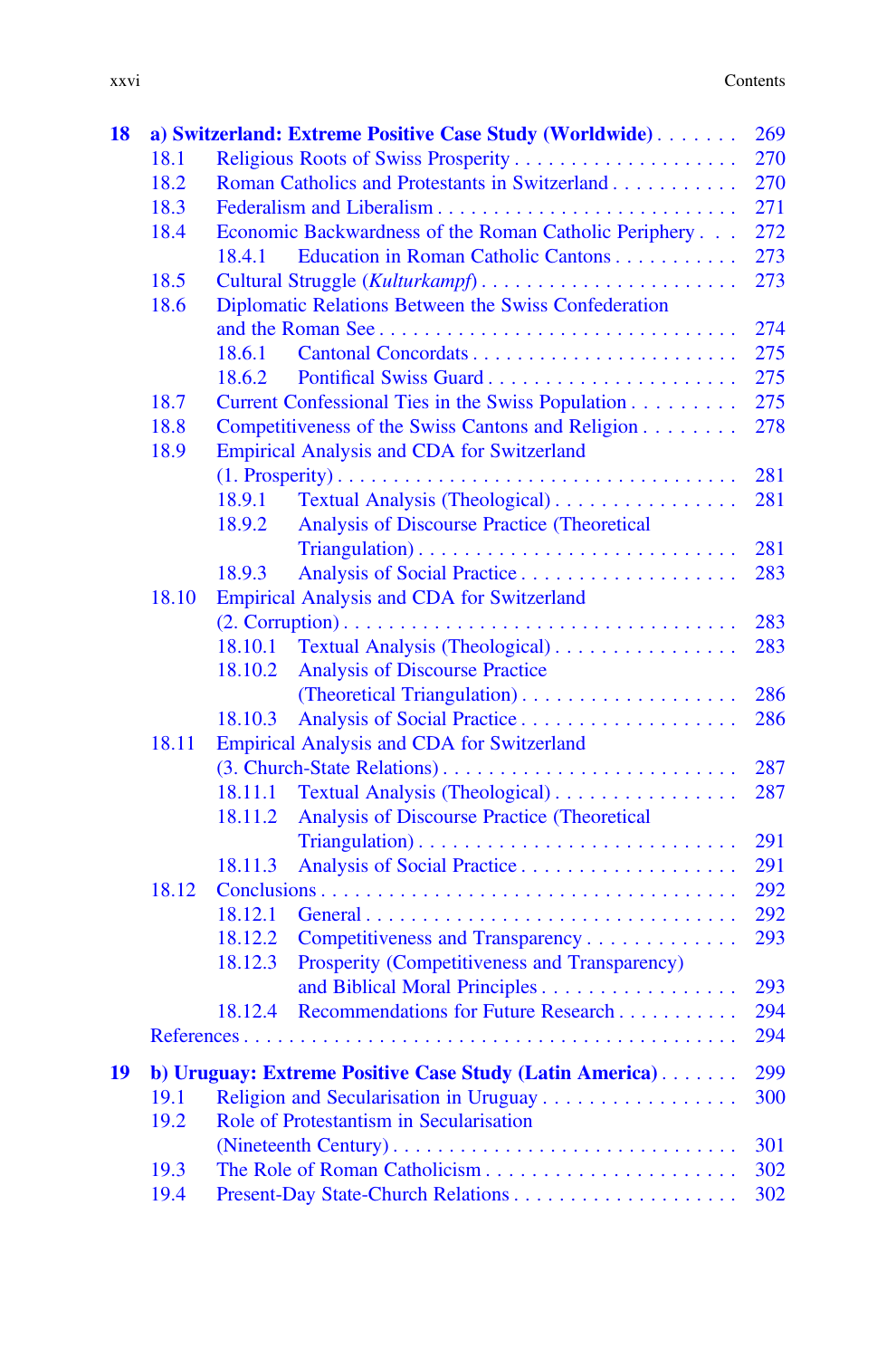| 18 |       | a) Switzerland: Extreme Positive Case Study (Worldwide)  | 269 |
|----|-------|----------------------------------------------------------|-----|
|    | 18.1  |                                                          | 270 |
|    | 18.2  | Roman Catholics and Protestants in Switzerland           | 270 |
|    | 18.3  |                                                          | 271 |
|    | 18.4  | Economic Backwardness of the Roman Catholic Periphery    | 272 |
|    |       | Education in Roman Catholic Cantons<br>18.4.1            | 273 |
|    | 18.5  |                                                          | 273 |
|    | 18.6  | Diplomatic Relations Between the Swiss Confederation     |     |
|    |       |                                                          | 274 |
|    |       | 18.6.1                                                   | 275 |
|    |       | Pontifical Swiss Guard<br>18.6.2                         | 275 |
|    | 18.7  | Current Confessional Ties in the Swiss Population        | 275 |
|    | 18.8  | Competitiveness of the Swiss Cantons and Religion        | 278 |
|    | 18.9  | <b>Empirical Analysis and CDA for Switzerland</b>        |     |
|    |       |                                                          | 281 |
|    |       | Textual Analysis (Theological)<br>18.9.1                 | 281 |
|    |       | Analysis of Discourse Practice (Theoretical<br>18.9.2    |     |
|    |       | Triangulation)                                           | 281 |
|    |       | 18.9.3                                                   | 283 |
|    | 18.10 | <b>Empirical Analysis and CDA for Switzerland</b>        |     |
|    |       |                                                          | 283 |
|    |       | Textual Analysis (Theological)<br>18.10.1                | 283 |
|    |       | 18.10.2<br><b>Analysis of Discourse Practice</b>         |     |
|    |       | (Theoretical Triangulation)                              | 286 |
|    |       | 18.10.3                                                  | 286 |
|    | 18.11 | <b>Empirical Analysis and CDA for Switzerland</b>        |     |
|    |       | (3. Church-State Relations)                              | 287 |
|    |       | 18.11.1<br>Textual Analysis (Theological)                | 287 |
|    |       | 18.11.2<br>Analysis of Discourse Practice (Theoretical   |     |
|    |       | Triangulation)                                           | 291 |
|    |       | 18.11.3                                                  | 291 |
|    | 18.12 |                                                          | 292 |
|    |       | 18.12.1                                                  | 292 |
|    |       | 18.12.2<br>Competitiveness and Transparency              | 293 |
|    |       | 18.12.3<br>Prosperity (Competitiveness and Transparency) |     |
|    |       |                                                          | 293 |
|    |       | Recommendations for Future Research<br>18.12.4           | 294 |
|    |       | References<br>and a resource and a resource and          | 294 |
| 19 |       | b) Uruguay: Extreme Positive Case Study (Latin America)  | 299 |
|    | 19.1  | Religion and Secularisation in Uruguay                   | 300 |
|    | 19.2  | Role of Protestantism in Secularisation                  |     |
|    |       | (Nineteenth Century)                                     | 301 |
|    | 19.3  | The Role of Roman Catholicism                            | 302 |
|    | 19.4  |                                                          | 302 |
|    |       |                                                          |     |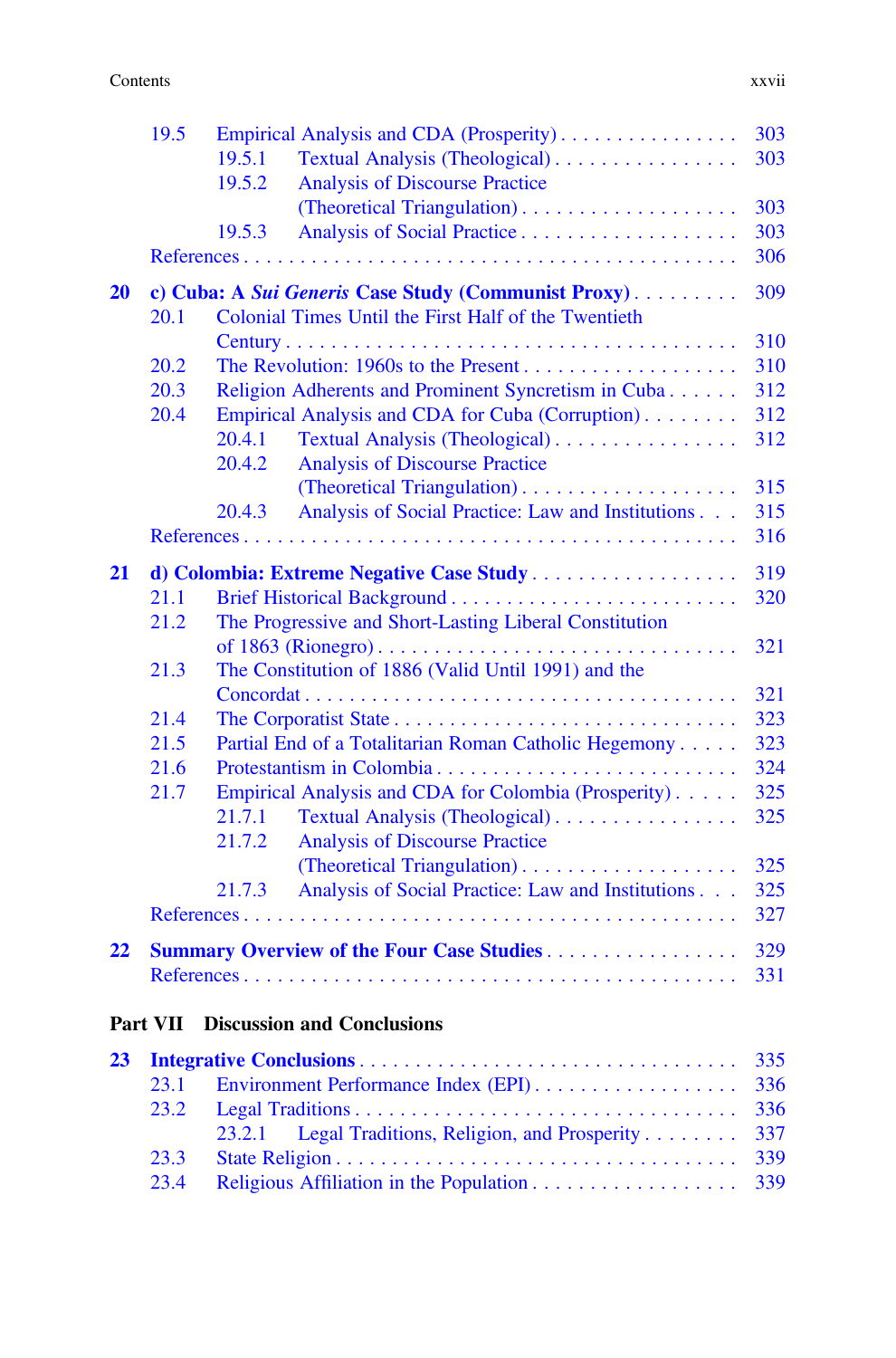#### **Contents** xxvii

|           | 19.5     | Empirical Analysis and CDA (Prosperity)                     | 303 |
|-----------|----------|-------------------------------------------------------------|-----|
|           |          | 19.5.1<br>Textual Analysis (Theological)                    | 303 |
|           |          | 19.5.2<br><b>Analysis of Discourse Practice</b>             |     |
|           |          |                                                             | 303 |
|           |          | 19.5.3                                                      | 303 |
|           |          |                                                             | 306 |
| <b>20</b> |          | c) Cuba: A Sui Generis Case Study (Communist Proxy)         | 309 |
|           | 20.1     | Colonial Times Until the First Half of the Twentieth        |     |
|           |          |                                                             | 310 |
|           | 20.2     |                                                             | 310 |
|           | 20.3     | Religion Adherents and Prominent Syncretism in Cuba         | 312 |
|           | 20.4     | Empirical Analysis and CDA for Cuba (Corruption)            | 312 |
|           |          | Textual Analysis (Theological)<br>20.4.1                    | 312 |
|           |          | 20.4.2<br><b>Analysis of Discourse Practice</b>             |     |
|           |          |                                                             | 315 |
|           |          | Analysis of Social Practice: Law and Institutions<br>20.4.3 | 315 |
|           |          |                                                             | 316 |
| 21        |          |                                                             | 319 |
|           | 21.1     |                                                             | 320 |
|           | 21.2     | The Progressive and Short-Lasting Liberal Constitution      |     |
|           |          |                                                             | 321 |
|           | 21.3     | The Constitution of 1886 (Valid Until 1991) and the         |     |
|           |          |                                                             | 321 |
|           | 21.4     |                                                             | 323 |
|           | 21.5     | Partial End of a Totalitarian Roman Catholic Hegemony       | 323 |
|           | 21.6     | Protestantism in Colombia                                   | 324 |
|           | 21.7     | Empirical Analysis and CDA for Colombia (Prosperity).       | 325 |
|           |          | Textual Analysis (Theological)<br>21.7.1                    | 325 |
|           |          | <b>Analysis of Discourse Practice</b><br>21.7.2             |     |
|           |          |                                                             | 325 |
|           |          | Analysis of Social Practice: Law and Institutions<br>21.7.3 | 325 |
|           |          |                                                             | 327 |
| 22        |          | <b>Summary Overview of the Four Case Studies</b>            | 329 |
|           |          |                                                             | 331 |
|           |          |                                                             |     |
|           | Part VII | <b>Discussion and Conclusions</b>                           |     |
| 23        |          |                                                             | 335 |
|           | 23.1     | Environment Performance Index (EPI)                         | 336 |
|           | 23.2     |                                                             | 336 |
|           |          | Legal Traditions, Religion, and Prosperity<br>23.2.1        | 337 |
|           | 23.3     |                                                             | 339 |
|           | 23.4     |                                                             | 339 |
|           |          |                                                             |     |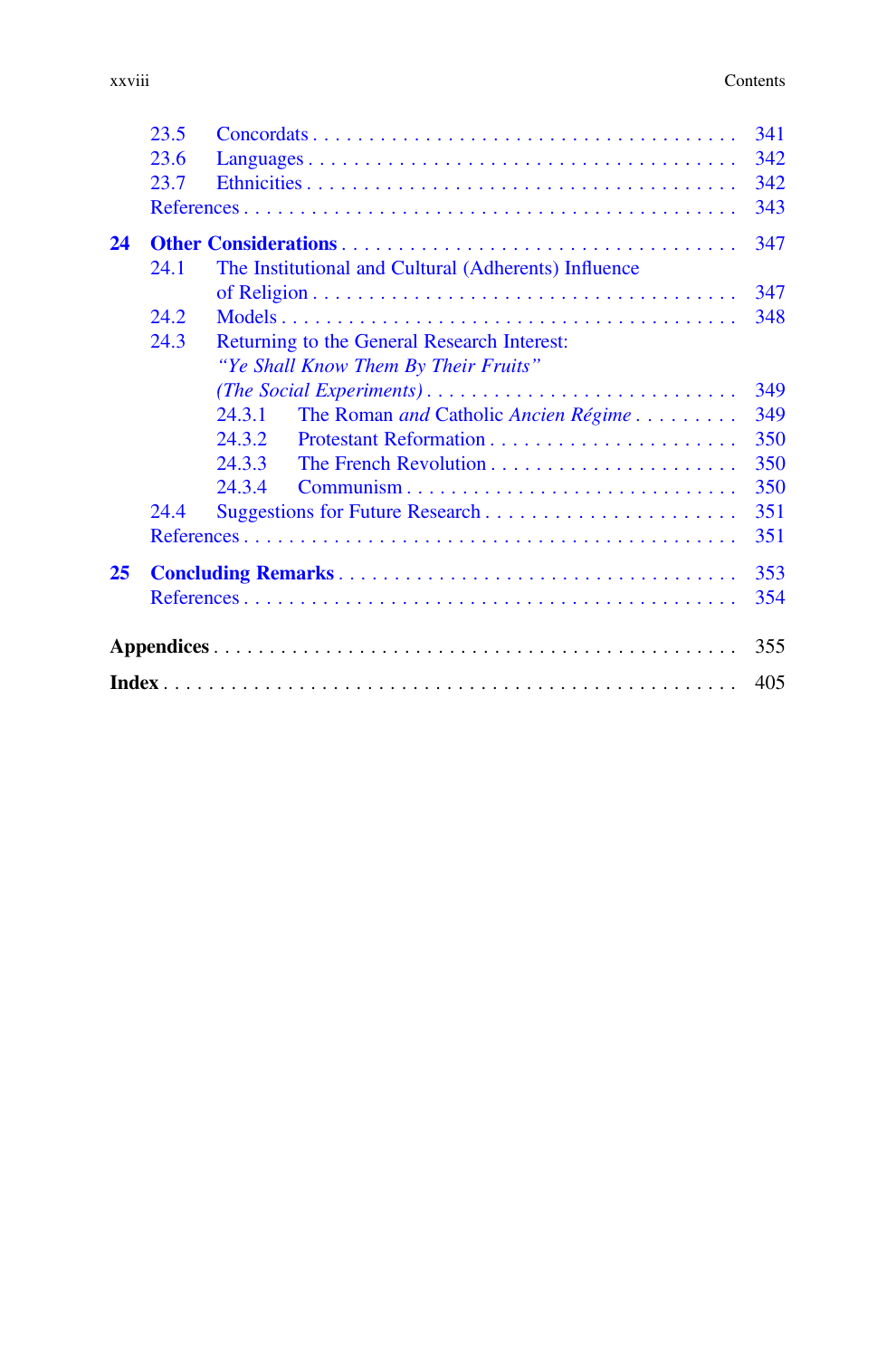|    | 23.5 |                                                      | 341 |
|----|------|------------------------------------------------------|-----|
|    | 23.6 |                                                      | 342 |
|    | 23.7 |                                                      | 342 |
|    |      |                                                      | 343 |
| 24 |      |                                                      | 347 |
|    | 24.1 | The Institutional and Cultural (Adherents) Influence |     |
|    |      |                                                      | 347 |
|    | 24.2 |                                                      | 348 |
|    | 24.3 | Returning to the General Research Interest:          |     |
|    |      | "Ye Shall Know Them By Their Fruits"                 |     |
|    |      |                                                      | 349 |
|    |      | The Roman and Catholic Ancien Régime<br>24.3.1       | 349 |
|    |      | 24.3.2                                               | 350 |
|    |      | 24.3.3                                               | 350 |
|    |      | 24.3.4                                               | 350 |
|    | 24.4 |                                                      | 351 |
|    |      |                                                      | 351 |
| 25 |      |                                                      | 353 |
|    |      |                                                      | 354 |
|    |      |                                                      |     |
|    |      |                                                      | 355 |
|    |      |                                                      | 405 |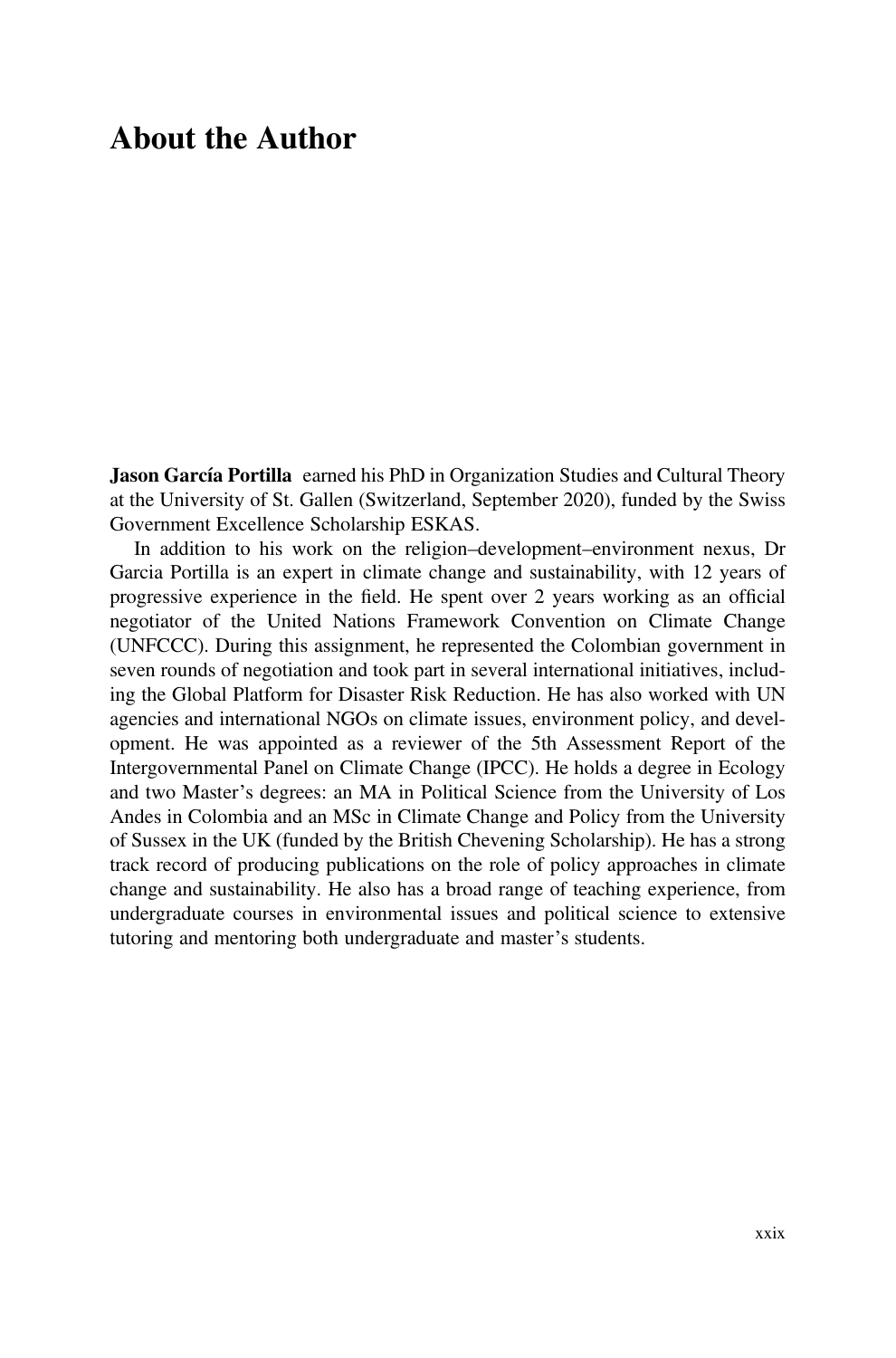## About the Author

Jason García Portilla earned his PhD in Organization Studies and Cultural Theory at the University of St. Gallen (Switzerland, September 2020), funded by the Swiss Government Excellence Scholarship ESKAS.

In addition to his work on the religion–development–environment nexus, Dr Garcia Portilla is an expert in climate change and sustainability, with 12 years of progressive experience in the field. He spent over 2 years working as an official negotiator of the United Nations Framework Convention on Climate Change (UNFCCC). During this assignment, he represented the Colombian government in seven rounds of negotiation and took part in several international initiatives, including the Global Platform for Disaster Risk Reduction. He has also worked with UN agencies and international NGOs on climate issues, environment policy, and development. He was appointed as a reviewer of the 5th Assessment Report of the Intergovernmental Panel on Climate Change (IPCC). He holds a degree in Ecology and two Master's degrees: an MA in Political Science from the University of Los Andes in Colombia and an MSc in Climate Change and Policy from the University of Sussex in the UK (funded by the British Chevening Scholarship). He has a strong track record of producing publications on the role of policy approaches in climate change and sustainability. He also has a broad range of teaching experience, from undergraduate courses in environmental issues and political science to extensive tutoring and mentoring both undergraduate and master's students.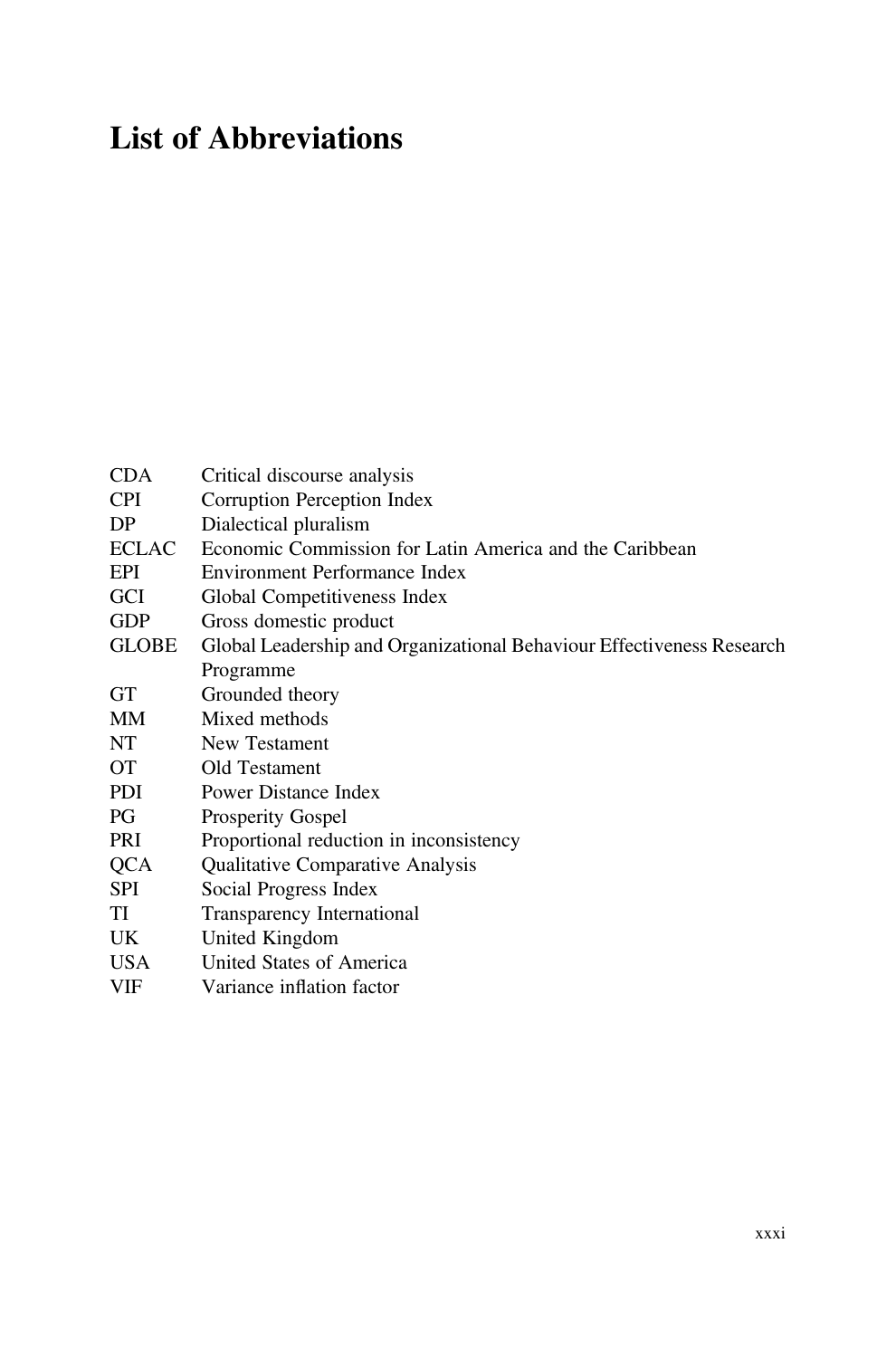## List of Abbreviations

| CDA        | Critical discourse analysis                                           |
|------------|-----------------------------------------------------------------------|
| CPI        | Corruption Perception Index                                           |
| DP         | Dialectical pluralism                                                 |
| ECLAC      | Economic Commission for Latin America and the Caribbean               |
| EPI        | <b>Environment Performance Index</b>                                  |
| GCI        | Global Competitiveness Index                                          |
| <b>GDP</b> | Gross domestic product                                                |
| GLOBE      | Global Leadership and Organizational Behaviour Effectiveness Research |
|            | Programme                                                             |
| GТ         | Grounded theory                                                       |
| MМ         | Mixed methods                                                         |
| NT         | New Testament                                                         |
| OТ         | Old Testament                                                         |
| PDI        | Power Distance Index                                                  |
| PG         | Prosperity Gospel                                                     |
| PRI        | Proportional reduction in inconsistency                               |
| QCA        | Qualitative Comparative Analysis                                      |
| SPI        | Social Progress Index                                                 |
| TI         | Transparency International                                            |
| UK         | United Kingdom                                                        |
| USA        | United States of America                                              |
| VIF        | Variance inflation factor                                             |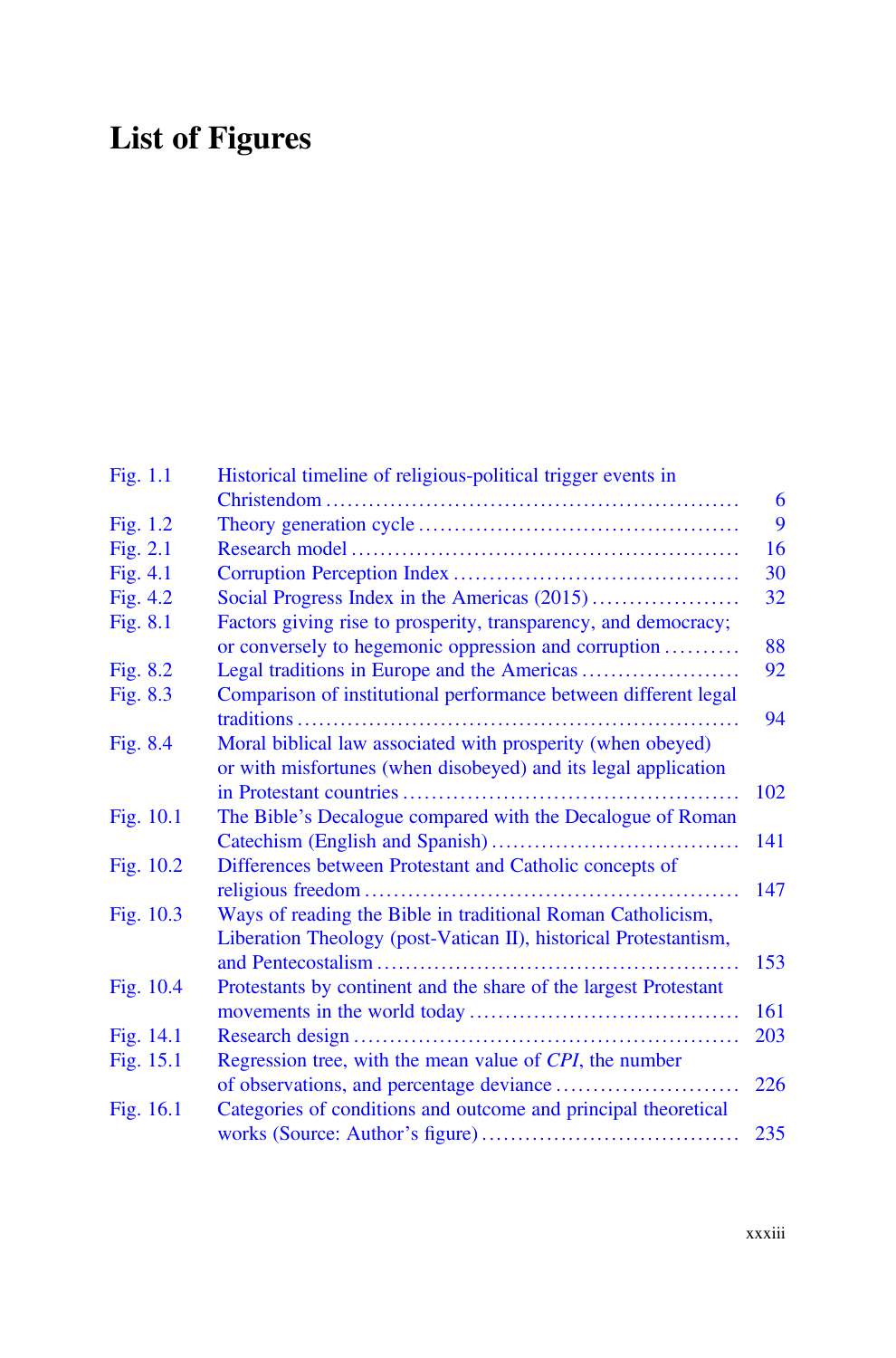## List of Figures

| Fig. 1.1   | Historical timeline of religious-political trigger events in     |     |
|------------|------------------------------------------------------------------|-----|
|            |                                                                  | 6   |
| Fig. $1.2$ |                                                                  | 9   |
| Fig. 2.1   |                                                                  | 16  |
| Fig. 4.1   |                                                                  | 30  |
| Fig. 4.2   | Social Progress Index in the Americas (2015)                     | 32  |
| Fig. 8.1   | Factors giving rise to prosperity, transparency, and democracy;  |     |
|            | or conversely to hegemonic oppression and corruption             | 88  |
| Fig. 8.2   |                                                                  | 92  |
| Fig. 8.3   | Comparison of institutional performance between different legal  | 94  |
| Fig. 8.4   | Moral biblical law associated with prosperity (when obeyed)      |     |
|            | or with misfortunes (when disobeyed) and its legal application   |     |
|            |                                                                  | 102 |
| Fig. 10.1  | The Bible's Decalogue compared with the Decalogue of Roman       |     |
|            |                                                                  | 141 |
| Fig. 10.2  | Differences between Protestant and Catholic concepts of          |     |
|            |                                                                  | 147 |
| Fig. 10.3  | Ways of reading the Bible in traditional Roman Catholicism,      |     |
|            | Liberation Theology (post-Vatican II), historical Protestantism, |     |
|            |                                                                  | 153 |
| Fig. 10.4  | Protestants by continent and the share of the largest Protestant |     |
|            |                                                                  | 161 |
| Fig. 14.1  |                                                                  | 203 |
| Fig. 15.1  | Regression tree, with the mean value of CPI, the number          |     |
|            |                                                                  | 226 |
| Fig. 16.1  | Categories of conditions and outcome and principal theoretical   |     |
|            |                                                                  | 235 |
|            |                                                                  |     |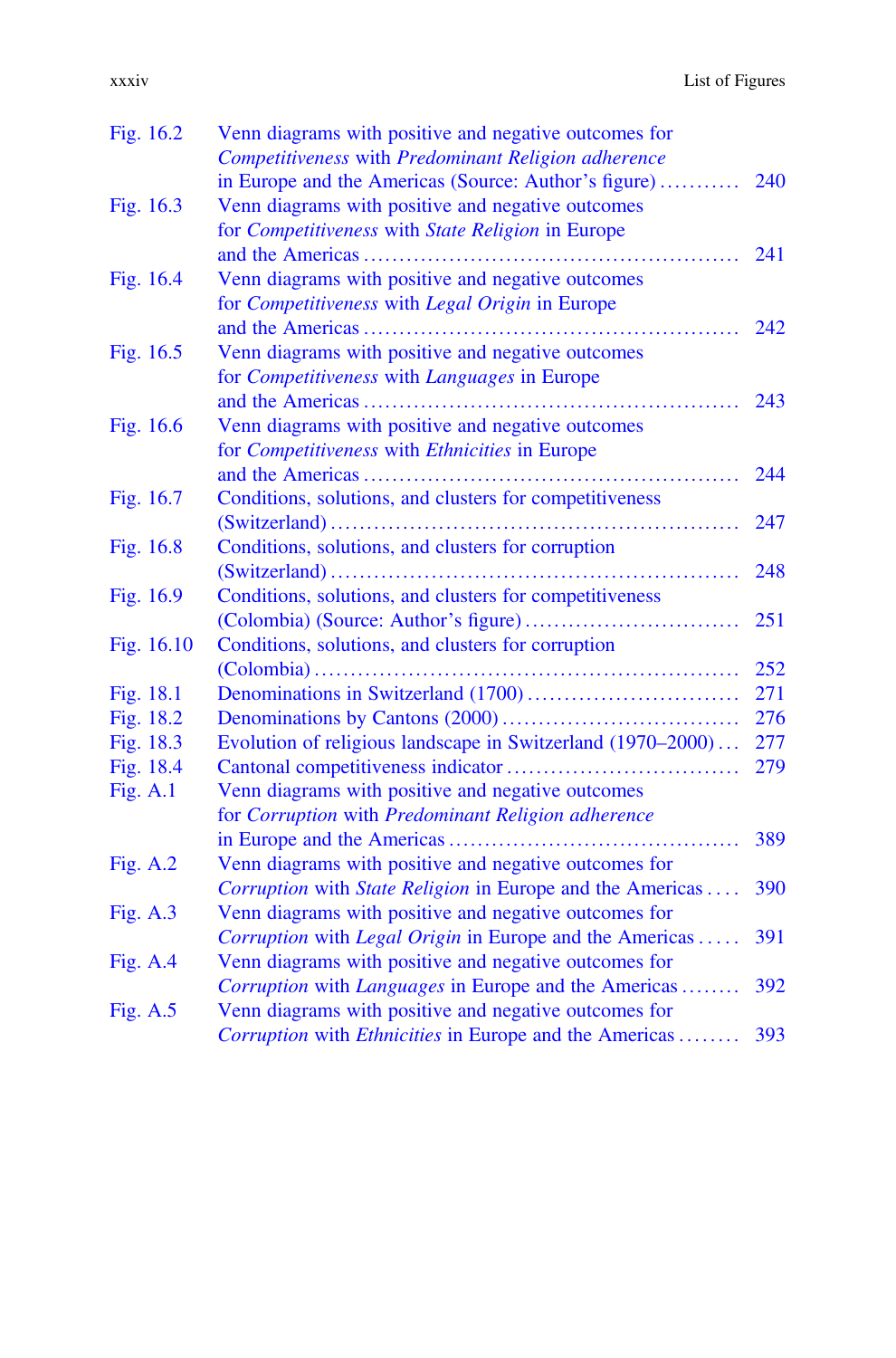| Fig. 16.2  | Venn diagrams with positive and negative outcomes for<br>Competitiveness with Predominant Religion adherence |     |
|------------|--------------------------------------------------------------------------------------------------------------|-----|
|            | in Europe and the Americas (Source: Author's figure)                                                         | 240 |
| Fig. 16.3  | Venn diagrams with positive and negative outcomes                                                            |     |
|            | for Competitiveness with State Religion in Europe                                                            |     |
|            |                                                                                                              | 241 |
| Fig. 16.4  | Venn diagrams with positive and negative outcomes                                                            |     |
|            | for Competitiveness with Legal Origin in Europe                                                              |     |
|            |                                                                                                              | 242 |
| Fig. 16.5  | Venn diagrams with positive and negative outcomes                                                            |     |
|            | for <i>Competitiveness</i> with <i>Languages</i> in Europe                                                   |     |
|            |                                                                                                              | 243 |
| Fig. 16.6  | Venn diagrams with positive and negative outcomes                                                            |     |
|            | for Competitiveness with Ethnicities in Europe                                                               |     |
|            |                                                                                                              | 244 |
| Fig. 16.7  | Conditions, solutions, and clusters for competitiveness                                                      |     |
|            |                                                                                                              | 247 |
| Fig. 16.8  | Conditions, solutions, and clusters for corruption                                                           |     |
|            |                                                                                                              | 248 |
| Fig. 16.9  | Conditions, solutions, and clusters for competitiveness                                                      |     |
|            |                                                                                                              | 251 |
| Fig. 16.10 | Conditions, solutions, and clusters for corruption                                                           |     |
|            |                                                                                                              | 252 |
| Fig. 18.1  |                                                                                                              | 271 |
| Fig. 18.2  |                                                                                                              | 276 |
| Fig. 18.3  | Evolution of religious landscape in Switzerland (1970–2000)                                                  | 277 |
| Fig. 18.4  |                                                                                                              | 279 |
| Fig. $A.1$ | Venn diagrams with positive and negative outcomes                                                            |     |
|            | for Corruption with Predominant Religion adherence                                                           |     |
|            |                                                                                                              | 389 |
| Fig. $A.2$ | Venn diagrams with positive and negative outcomes for                                                        |     |
|            | Corruption with State Religion in Europe and the Americas                                                    | 390 |
| Fig. $A.3$ | Venn diagrams with positive and negative outcomes for                                                        |     |
|            | Corruption with Legal Origin in Europe and the Americas                                                      | 391 |
| Fig. $A.4$ | Venn diagrams with positive and negative outcomes for                                                        |     |
|            | Corruption with Languages in Europe and the Americas                                                         | 392 |
| Fig. $A.5$ | Venn diagrams with positive and negative outcomes for                                                        |     |
|            | Corruption with Ethnicities in Europe and the Americas                                                       | 393 |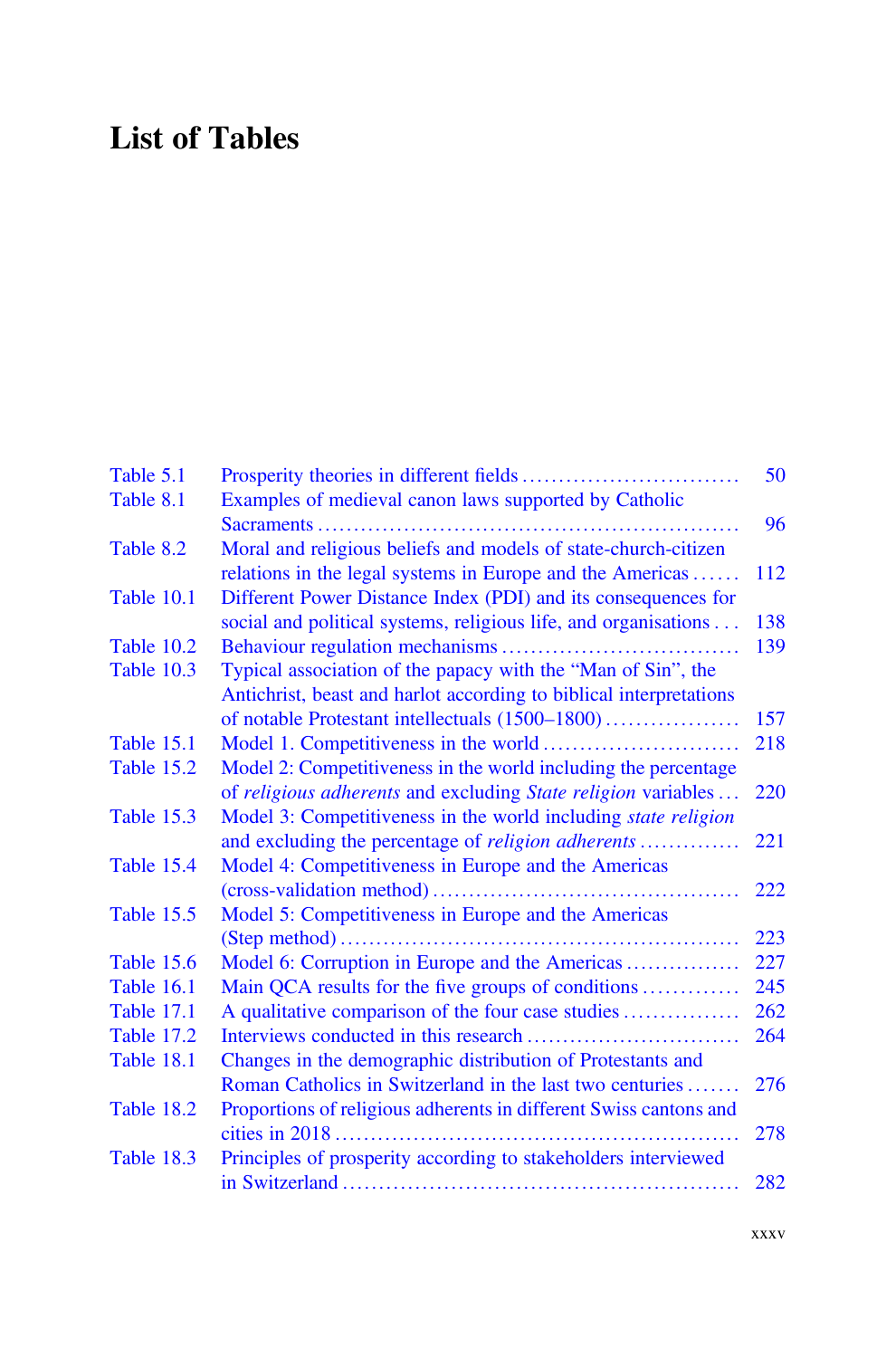## List of Tables

| Table 5.1         |                                                                    | 50  |
|-------------------|--------------------------------------------------------------------|-----|
| Table 8.1         | Examples of medieval canon laws supported by Catholic              |     |
|                   |                                                                    | 96  |
| Table 8.2         | Moral and religious beliefs and models of state-church-citizen     |     |
|                   | relations in the legal systems in Europe and the Americas          | 112 |
| Table 10.1        | Different Power Distance Index (PDI) and its consequences for      |     |
|                   | social and political systems, religious life, and organisations    | 138 |
| Table 10.2        |                                                                    | 139 |
| Table 10.3        | Typical association of the papacy with the "Man of Sin", the       |     |
|                   | Antichrist, beast and harlot according to biblical interpretations |     |
|                   | of notable Protestant intellectuals (1500–1800)                    | 157 |
| Table 15.1        |                                                                    | 218 |
| Table 15.2        | Model 2: Competitiveness in the world including the percentage     |     |
|                   | of religious adherents and excluding State religion variables      | 220 |
| Table 15.3        | Model 3: Competitiveness in the world including state religion     |     |
|                   | and excluding the percentage of <i>religion adherents</i>          | 221 |
| Table 15.4        | Model 4: Competitiveness in Europe and the Americas                |     |
|                   |                                                                    | 222 |
| Table 15.5        | Model 5: Competitiveness in Europe and the Americas                |     |
|                   |                                                                    | 223 |
| Table 15.6        | Model 6: Corruption in Europe and the Americas                     | 227 |
| <b>Table 16.1</b> | Main QCA results for the five groups of conditions                 | 245 |
| <b>Table 17.1</b> | A qualitative comparison of the four case studies                  | 262 |
| <b>Table 17.2</b> |                                                                    | 264 |
| Table 18.1        | Changes in the demographic distribution of Protestants and         |     |
|                   | Roman Catholics in Switzerland in the last two centuries           | 276 |
| Table 18.2        | Proportions of religious adherents in different Swiss cantons and  |     |
|                   | cities in 2018                                                     | 278 |
| Table 18.3        | Principles of prosperity according to stakeholders interviewed     |     |
|                   |                                                                    | 282 |